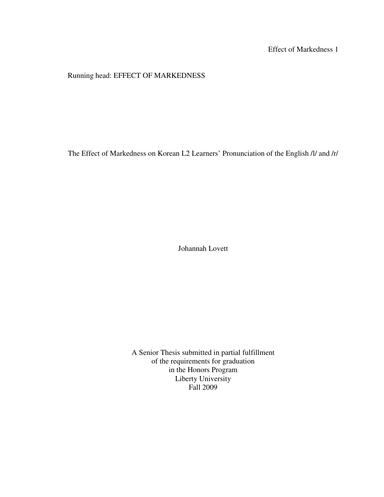## Effect of Markedness 1

## Running head: EFFECT OF MARKEDNESS

The Effect of Markedness on Korean L2 Learners' Pronunciation of the English /l/ and /r/

Johannah Lovett

A Senior Thesis submitted in partial fulfillment of the requirements for graduation in the Honors Program Liberty University Fall 2009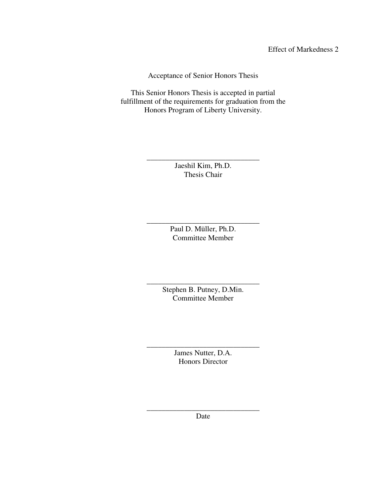Effect of Markedness 2

Acceptance of Senior Honors Thesis

This Senior Honors Thesis is accepted in partial fulfillment of the requirements for graduation from the Honors Program of Liberty University.

> Jaeshil Kim, Ph.D. Thesis Chair

\_\_\_\_\_\_\_\_\_\_\_\_\_\_\_\_\_\_\_\_\_\_\_\_\_\_\_\_\_\_

\_\_\_\_\_\_\_\_\_\_\_\_\_\_\_\_\_\_\_\_\_\_\_\_\_\_\_\_\_\_ Paul D. Müller, Ph.D. Committee Member

\_\_\_\_\_\_\_\_\_\_\_\_\_\_\_\_\_\_\_\_\_\_\_\_\_\_\_\_\_\_ Stephen B. Putney, D.Min. Committee Member

> James Nutter, D.A. Honors Director

\_\_\_\_\_\_\_\_\_\_\_\_\_\_\_\_\_\_\_\_\_\_\_\_\_\_\_\_\_\_

\_\_\_\_\_\_\_\_\_\_\_\_\_\_\_\_\_\_\_\_\_\_\_\_\_\_\_\_\_\_ Date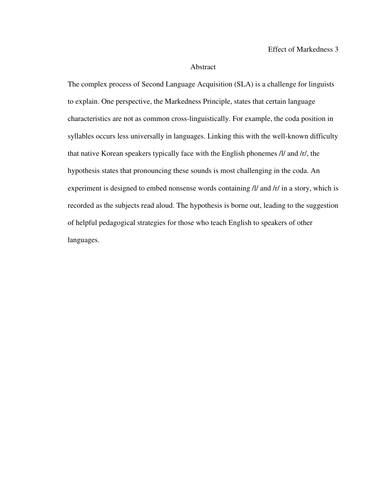#### Abstract

The complex process of Second Language Acquisition (SLA) is a challenge for linguists to explain. One perspective, the Markedness Principle, states that certain language characteristics are not as common cross-linguistically. For example, the coda position in syllables occurs less universally in languages. Linking this with the well-known difficulty that native Korean speakers typically face with the English phonemes /l/ and /r/, the hypothesis states that pronouncing these sounds is most challenging in the coda. An experiment is designed to embed nonsense words containing /l/ and /r/ in a story, which is recorded as the subjects read aloud. The hypothesis is borne out, leading to the suggestion of helpful pedagogical strategies for those who teach English to speakers of other languages.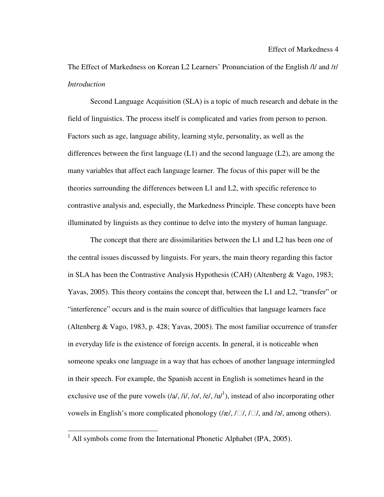The Effect of Markedness on Korean L2 Learners' Pronunciation of the English /l/ and /r/ *Introduction* 

Second Language Acquisition (SLA) is a topic of much research and debate in the field of linguistics. The process itself is complicated and varies from person to person. Factors such as age, language ability, learning style, personality, as well as the differences between the first language  $(L1)$  and the second language  $(L2)$ , are among the many variables that affect each language learner. The focus of this paper will be the theories surrounding the differences between L1 and L2, with specific reference to contrastive analysis and, especially, the Markedness Principle. These concepts have been illuminated by linguists as they continue to delve into the mystery of human language.

 The concept that there are dissimilarities between the L1 and L2 has been one of the central issues discussed by linguists. For years, the main theory regarding this factor in SLA has been the Contrastive Analysis Hypothesis (CAH) (Altenberg & Vago, 1983; Yavas, 2005). This theory contains the concept that, between the L1 and L2, "transfer" or "interference" occurs and is the main source of difficulties that language learners face (Altenberg & Vago, 1983, p. 428; Yavas, 2005). The most familiar occurrence of transfer in everyday life is the existence of foreign accents. In general, it is noticeable when someone speaks one language in a way that has echoes of another language intermingled in their speech. For example, the Spanish accent in English is sometimes heard in the exclusive use of the pure vowels  $(|a|, |i|, |o|, |e|, |u|^1)$ , instead of also incorporating other vowels in English's more complicated phonology ( $/\alpha$ ,  $/\Box$ ,  $/\Box$ , and  $/\alpha$ , among others).

 $\overline{a}$ 

 $<sup>1</sup>$  All symbols come from the International Phonetic Alphabet (IPA, 2005).</sup>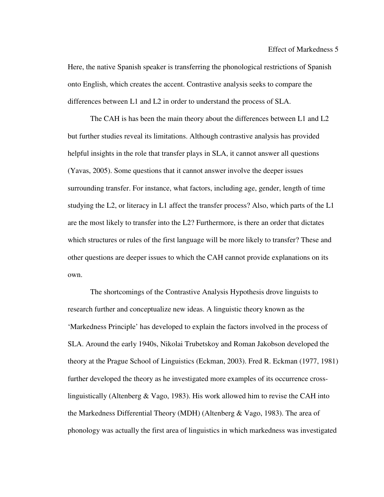Here, the native Spanish speaker is transferring the phonological restrictions of Spanish onto English, which creates the accent. Contrastive analysis seeks to compare the differences between L1 and L2 in order to understand the process of SLA.

 The CAH is has been the main theory about the differences between L1 and L2 but further studies reveal its limitations. Although contrastive analysis has provided helpful insights in the role that transfer plays in SLA, it cannot answer all questions (Yavas, 2005). Some questions that it cannot answer involve the deeper issues surrounding transfer. For instance, what factors, including age, gender, length of time studying the L2, or literacy in L1 affect the transfer process? Also, which parts of the L1 are the most likely to transfer into the L2? Furthermore, is there an order that dictates which structures or rules of the first language will be more likely to transfer? These and other questions are deeper issues to which the CAH cannot provide explanations on its own.

 The shortcomings of the Contrastive Analysis Hypothesis drove linguists to research further and conceptualize new ideas. A linguistic theory known as the 'Markedness Principle' has developed to explain the factors involved in the process of SLA. Around the early 1940s, Nikolai Trubetskoy and Roman Jakobson developed the theory at the Prague School of Linguistics (Eckman, 2003). Fred R. Eckman (1977, 1981) further developed the theory as he investigated more examples of its occurrence crosslinguistically (Altenberg  $& \text{Vago}, 1983$ ). His work allowed him to revise the CAH into the Markedness Differential Theory (MDH) (Altenberg & Vago, 1983). The area of phonology was actually the first area of linguistics in which markedness was investigated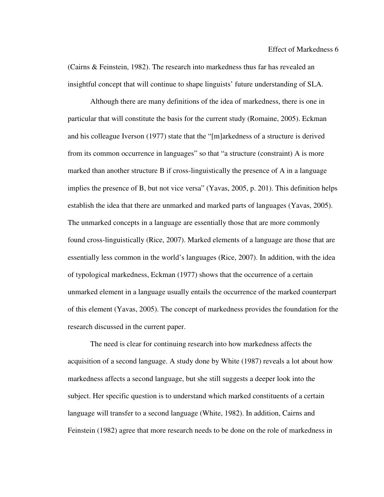(Cairns & Feinstein, 1982). The research into markedness thus far has revealed an insightful concept that will continue to shape linguists' future understanding of SLA.

Although there are many definitions of the idea of markedness, there is one in particular that will constitute the basis for the current study (Romaine, 2005). Eckman and his colleague Iverson (1977) state that the "[m]arkedness of a structure is derived from its common occurrence in languages" so that "a structure (constraint) A is more marked than another structure B if cross-linguistically the presence of A in a language implies the presence of B, but not vice versa" (Yavas, 2005, p. 201). This definition helps establish the idea that there are unmarked and marked parts of languages (Yavas, 2005). The unmarked concepts in a language are essentially those that are more commonly found cross-linguistically (Rice, 2007). Marked elements of a language are those that are essentially less common in the world's languages (Rice, 2007). In addition, with the idea of typological markedness, Eckman (1977) shows that the occurrence of a certain unmarked element in a language usually entails the occurrence of the marked counterpart of this element (Yavas, 2005). The concept of markedness provides the foundation for the research discussed in the current paper.

 The need is clear for continuing research into how markedness affects the acquisition of a second language. A study done by White (1987) reveals a lot about how markedness affects a second language, but she still suggests a deeper look into the subject. Her specific question is to understand which marked constituents of a certain language will transfer to a second language (White, 1982). In addition, Cairns and Feinstein (1982) agree that more research needs to be done on the role of markedness in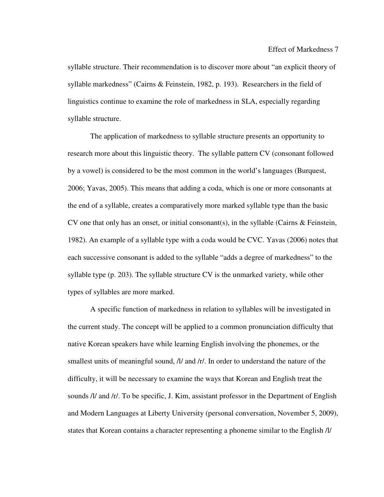syllable structure. Their recommendation is to discover more about "an explicit theory of syllable markedness" (Cairns & Feinstein, 1982, p. 193). Researchers in the field of linguistics continue to examine the role of markedness in SLA, especially regarding syllable structure.

 The application of markedness to syllable structure presents an opportunity to research more about this linguistic theory. The syllable pattern CV (consonant followed by a vowel) is considered to be the most common in the world's languages (Burquest, 2006; Yavas, 2005). This means that adding a coda, which is one or more consonants at the end of a syllable, creates a comparatively more marked syllable type than the basic CV one that only has an onset, or initial consonant(s), in the syllable (Cairns & Feinstein, 1982). An example of a syllable type with a coda would be CVC. Yavas (2006) notes that each successive consonant is added to the syllable "adds a degree of markedness" to the syllable type (p. 203). The syllable structure CV is the unmarked variety, while other types of syllables are more marked.

 A specific function of markedness in relation to syllables will be investigated in the current study. The concept will be applied to a common pronunciation difficulty that native Korean speakers have while learning English involving the phonemes, or the smallest units of meaningful sound, /l/ and /r/. In order to understand the nature of the difficulty, it will be necessary to examine the ways that Korean and English treat the sounds /l/ and /r/. To be specific, J. Kim, assistant professor in the Department of English and Modern Languages at Liberty University (personal conversation, November 5, 2009), states that Korean contains a character representing a phoneme similar to the English /l/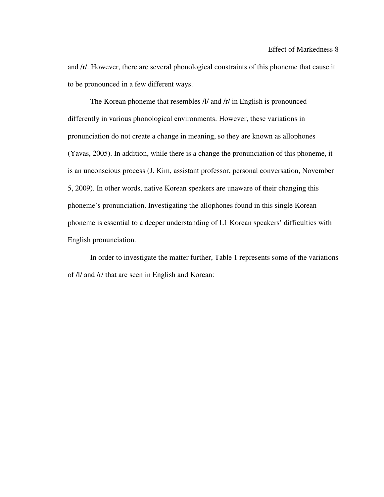and /r/. However, there are several phonological constraints of this phoneme that cause it to be pronounced in a few different ways.

The Korean phoneme that resembles /l/ and /r/ in English is pronounced differently in various phonological environments. However, these variations in pronunciation do not create a change in meaning, so they are known as allophones (Yavas, 2005). In addition, while there is a change the pronunciation of this phoneme, it is an unconscious process (J. Kim, assistant professor, personal conversation, November 5, 2009). In other words, native Korean speakers are unaware of their changing this phoneme's pronunciation. Investigating the allophones found in this single Korean phoneme is essential to a deeper understanding of L1 Korean speakers' difficulties with English pronunciation.

In order to investigate the matter further, Table 1 represents some of the variations of /l/ and /r/ that are seen in English and Korean: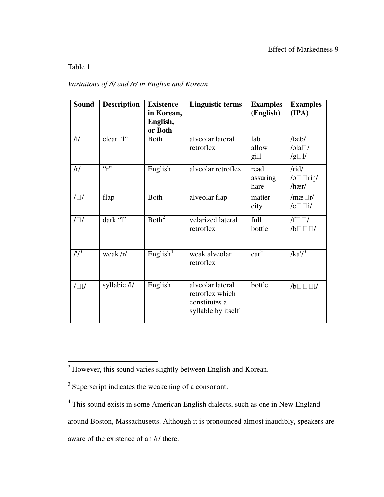## Table 1

 $\overline{a}$ 

# *Variations of /l/ and /r/ in English and Korean*

| <b>Sound</b> | <b>Description</b> | <b>Existence</b><br>in Korean,<br>English,<br>or Both | <b>Linguistic terms</b>                                                    | <b>Examples</b><br>(English) | <b>Examples</b><br>(IPA)                       |
|--------------|--------------------|-------------------------------------------------------|----------------------------------------------------------------------------|------------------------------|------------------------------------------------|
| $\eta$       | clear "l"          | <b>Both</b>                                           | alveolar lateral<br>retroflex                                              | lab<br>allow<br>gill         | $/$ læb $/$<br>/əla $\square$ /<br>$/g \Box l$ |
| /r/          | $\mathfrak{c}_r$   | English                                               | alveolar retroflex                                                         | read<br>assuring<br>hare     | /rid/<br>/ə□□riŋ/<br>/hær/                     |
| $/ \Box /$   | flap               | <b>Both</b>                                           | alveolar flap                                                              | matter<br>city               | $/mæ\Box r/$<br>$/c \Box \Box i/$              |
| $/\Box/$     | dark "l"           | Both <sup>2</sup>                                     | velarized lateral<br>retroflex                                             | full<br>bottle               | $/f \Box \Box /$<br>$/b$ $\Box$ $\Box$ /       |
| $\sqrt{f^2}$ | weak /r/           | English <sup>4</sup>                                  | weak alveolar<br>retroflex                                                 | car <sup>3</sup>             | $/ka^{r^3}$                                    |
| $/ \Box 1/$  | syllabic /l/       | English                                               | alveolar lateral<br>retroflex which<br>constitutes a<br>syllable by itself | bottle                       | $/b \Box \Box \Box l$                          |

aware of the existence of an /r/ there.

 $2$  However, this sound varies slightly between English and Korean.

<sup>&</sup>lt;sup>3</sup> Superscript indicates the weakening of a consonant.

<sup>&</sup>lt;sup>4</sup> This sound exists in some American English dialects, such as one in New England

around Boston, Massachusetts. Although it is pronounced almost inaudibly, speakers are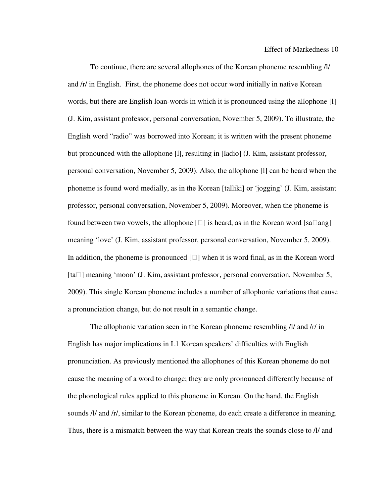To continue, there are several allophones of the Korean phoneme resembling /l/ and /r/ in English. First, the phoneme does not occur word initially in native Korean words, but there are English loan-words in which it is pronounced using the allophone [l] (J. Kim, assistant professor, personal conversation, November 5, 2009). To illustrate, the English word "radio" was borrowed into Korean; it is written with the present phoneme but pronounced with the allophone [l], resulting in [ladio] (J. Kim, assistant professor, personal conversation, November 5, 2009). Also, the allophone [l] can be heard when the phoneme is found word medially, as in the Korean [talliki] or 'jogging' (J. Kim, assistant professor, personal conversation, November 5, 2009). Moreover, when the phoneme is found between two vowels, the allophone  $[\Box]$  is heard, as in the Korean word [sa $\Box$ ang] meaning 'love' (J. Kim, assistant professor, personal conversation, November 5, 2009). In addition, the phoneme is pronounced  $[\Box]$  when it is word final, as in the Korean word  $[ta \Box]$  meaning 'moon' (J. Kim, assistant professor, personal conversation, November 5, 2009). This single Korean phoneme includes a number of allophonic variations that cause a pronunciation change, but do not result in a semantic change.

The allophonic variation seen in the Korean phoneme resembling /l/ and /r/ in English has major implications in L1 Korean speakers' difficulties with English pronunciation. As previously mentioned the allophones of this Korean phoneme do not cause the meaning of a word to change; they are only pronounced differently because of the phonological rules applied to this phoneme in Korean. On the hand, the English sounds /l/ and /r/, similar to the Korean phoneme, do each create a difference in meaning. Thus, there is a mismatch between the way that Korean treats the sounds close to /l/ and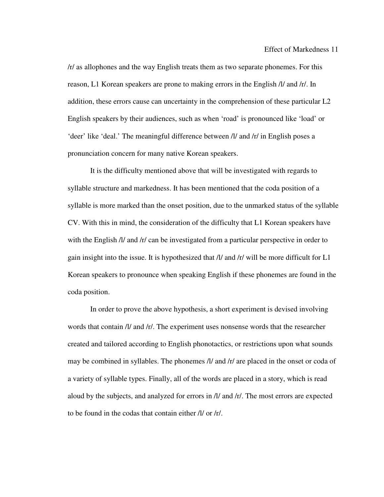/r/ as allophones and the way English treats them as two separate phonemes. For this reason, L1 Korean speakers are prone to making errors in the English /l/ and /r/. In addition, these errors cause can uncertainty in the comprehension of these particular L2 English speakers by their audiences, such as when 'road' is pronounced like 'load' or 'deer' like 'deal.' The meaningful difference between /l/ and /r/ in English poses a pronunciation concern for many native Korean speakers.

It is the difficulty mentioned above that will be investigated with regards to syllable structure and markedness. It has been mentioned that the coda position of a syllable is more marked than the onset position, due to the unmarked status of the syllable CV. With this in mind, the consideration of the difficulty that L1 Korean speakers have with the English /l/ and /r/ can be investigated from a particular perspective in order to gain insight into the issue. It is hypothesized that /l/ and /r/ will be more difficult for L1 Korean speakers to pronounce when speaking English if these phonemes are found in the coda position.

In order to prove the above hypothesis, a short experiment is devised involving words that contain /l/ and /r/. The experiment uses nonsense words that the researcher created and tailored according to English phonotactics, or restrictions upon what sounds may be combined in syllables. The phonemes  $\Lambda l$  and  $\Lambda r$  are placed in the onset or coda of a variety of syllable types. Finally, all of the words are placed in a story, which is read aloud by the subjects, and analyzed for errors in /l/ and /r/. The most errors are expected to be found in the codas that contain either /l/ or /r/.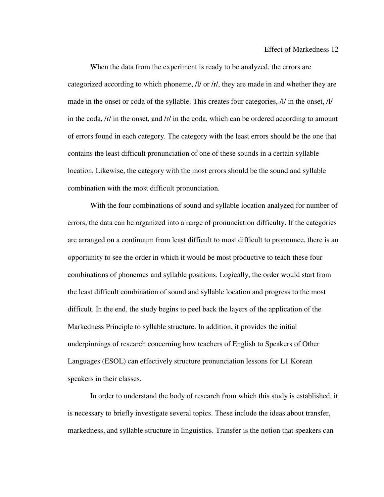When the data from the experiment is ready to be analyzed, the errors are categorized according to which phoneme, /l/ or /r/, they are made in and whether they are made in the onset or coda of the syllable. This creates four categories, /l/ in the onset, /l/ in the coda, /r/ in the onset, and /r/ in the coda, which can be ordered according to amount of errors found in each category. The category with the least errors should be the one that contains the least difficult pronunciation of one of these sounds in a certain syllable location. Likewise, the category with the most errors should be the sound and syllable combination with the most difficult pronunciation.

With the four combinations of sound and syllable location analyzed for number of errors, the data can be organized into a range of pronunciation difficulty. If the categories are arranged on a continuum from least difficult to most difficult to pronounce, there is an opportunity to see the order in which it would be most productive to teach these four combinations of phonemes and syllable positions. Logically, the order would start from the least difficult combination of sound and syllable location and progress to the most difficult. In the end, the study begins to peel back the layers of the application of the Markedness Principle to syllable structure. In addition, it provides the initial underpinnings of research concerning how teachers of English to Speakers of Other Languages (ESOL) can effectively structure pronunciation lessons for L1 Korean speakers in their classes.

In order to understand the body of research from which this study is established, it is necessary to briefly investigate several topics. These include the ideas about transfer, markedness, and syllable structure in linguistics. Transfer is the notion that speakers can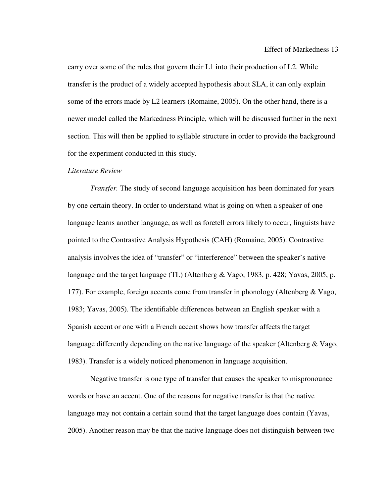carry over some of the rules that govern their L1 into their production of L2. While transfer is the product of a widely accepted hypothesis about SLA, it can only explain some of the errors made by L2 learners (Romaine, 2005). On the other hand, there is a newer model called the Markedness Principle, which will be discussed further in the next section. This will then be applied to syllable structure in order to provide the background for the experiment conducted in this study.

#### *Literature Review*

*Transfer.* The study of second language acquisition has been dominated for years by one certain theory. In order to understand what is going on when a speaker of one language learns another language, as well as foretell errors likely to occur, linguists have pointed to the Contrastive Analysis Hypothesis (CAH) (Romaine, 2005). Contrastive analysis involves the idea of "transfer" or "interference" between the speaker's native language and the target language (TL) (Altenberg & Vago, 1983, p. 428; Yavas, 2005, p. 177). For example, foreign accents come from transfer in phonology (Altenberg & Vago, 1983; Yavas, 2005). The identifiable differences between an English speaker with a Spanish accent or one with a French accent shows how transfer affects the target language differently depending on the native language of the speaker (Altenberg & Vago, 1983). Transfer is a widely noticed phenomenon in language acquisition.

 Negative transfer is one type of transfer that causes the speaker to mispronounce words or have an accent. One of the reasons for negative transfer is that the native language may not contain a certain sound that the target language does contain (Yavas, 2005). Another reason may be that the native language does not distinguish between two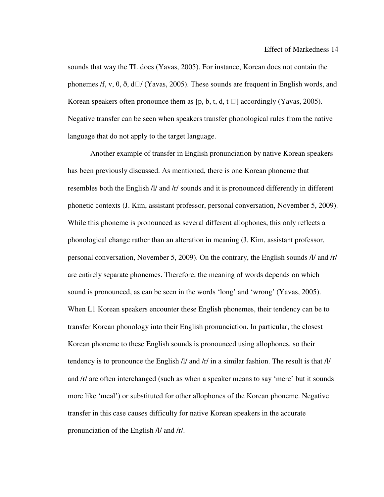sounds that way the TL does (Yavas, 2005). For instance, Korean does not contain the phonemes /f, v,  $\theta$ ,  $\delta$ ,  $d\Box$  (Yavas, 2005). These sounds are frequent in English words, and Korean speakers often pronounce them as  $[p, b, t, d, t]$  accordingly (Yavas, 2005). Negative transfer can be seen when speakers transfer phonological rules from the native language that do not apply to the target language.

 Another example of transfer in English pronunciation by native Korean speakers has been previously discussed. As mentioned, there is one Korean phoneme that resembles both the English /l/ and /r/ sounds and it is pronounced differently in different phonetic contexts (J. Kim, assistant professor, personal conversation, November 5, 2009). While this phoneme is pronounced as several different allophones, this only reflects a phonological change rather than an alteration in meaning (J. Kim, assistant professor, personal conversation, November 5, 2009). On the contrary, the English sounds /l/ and /r/ are entirely separate phonemes. Therefore, the meaning of words depends on which sound is pronounced, as can be seen in the words 'long' and 'wrong' (Yavas, 2005). When L1 Korean speakers encounter these English phonemes, their tendency can be to transfer Korean phonology into their English pronunciation. In particular, the closest Korean phoneme to these English sounds is pronounced using allophones, so their tendency is to pronounce the English /l/ and /r/ in a similar fashion. The result is that /l/ and /r/ are often interchanged (such as when a speaker means to say 'mere' but it sounds more like 'meal') or substituted for other allophones of the Korean phoneme. Negative transfer in this case causes difficulty for native Korean speakers in the accurate pronunciation of the English /l/ and /r/.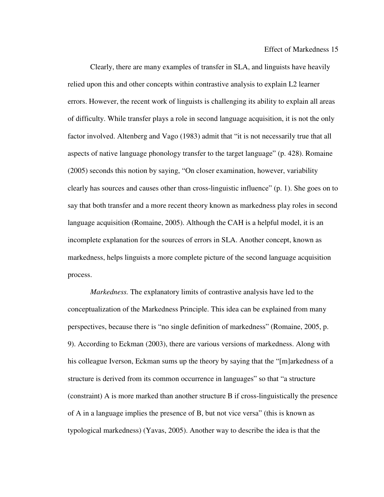Clearly, there are many examples of transfer in SLA, and linguists have heavily relied upon this and other concepts within contrastive analysis to explain L2 learner errors. However, the recent work of linguists is challenging its ability to explain all areas of difficulty. While transfer plays a role in second language acquisition, it is not the only factor involved. Altenberg and Vago (1983) admit that "it is not necessarily true that all aspects of native language phonology transfer to the target language" (p. 428). Romaine (2005) seconds this notion by saying, "On closer examination, however, variability clearly has sources and causes other than cross-linguistic influence" (p. 1). She goes on to say that both transfer and a more recent theory known as markedness play roles in second language acquisition (Romaine, 2005). Although the CAH is a helpful model, it is an incomplete explanation for the sources of errors in SLA. Another concept, known as markedness, helps linguists a more complete picture of the second language acquisition process.

*Markedness.* The explanatory limits of contrastive analysis have led to the conceptualization of the Markedness Principle. This idea can be explained from many perspectives, because there is "no single definition of markedness" (Romaine, 2005, p. 9). According to Eckman (2003), there are various versions of markedness. Along with his colleague Iverson, Eckman sums up the theory by saying that the "[m]arkedness of a structure is derived from its common occurrence in languages" so that "a structure (constraint) A is more marked than another structure B if cross-linguistically the presence of A in a language implies the presence of B, but not vice versa" (this is known as typological markedness) (Yavas, 2005). Another way to describe the idea is that the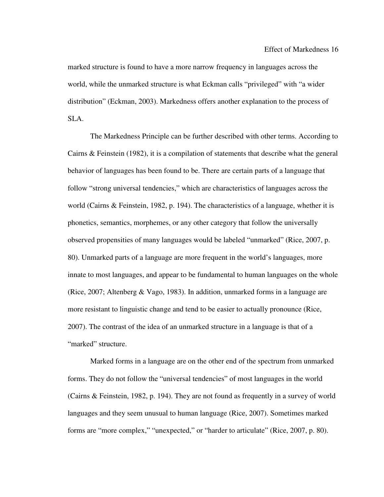marked structure is found to have a more narrow frequency in languages across the world, while the unmarked structure is what Eckman calls "privileged" with "a wider distribution" (Eckman, 2003). Markedness offers another explanation to the process of SLA.

The Markedness Principle can be further described with other terms. According to Cairns & Feinstein (1982), it is a compilation of statements that describe what the general behavior of languages has been found to be. There are certain parts of a language that follow "strong universal tendencies," which are characteristics of languages across the world (Cairns & Feinstein, 1982, p. 194). The characteristics of a language, whether it is phonetics, semantics, morphemes, or any other category that follow the universally observed propensities of many languages would be labeled "unmarked" (Rice, 2007, p. 80). Unmarked parts of a language are more frequent in the world's languages, more innate to most languages, and appear to be fundamental to human languages on the whole (Rice, 2007; Altenberg & Vago, 1983). In addition, unmarked forms in a language are more resistant to linguistic change and tend to be easier to actually pronounce (Rice, 2007). The contrast of the idea of an unmarked structure in a language is that of a "marked" structure.

 Marked forms in a language are on the other end of the spectrum from unmarked forms. They do not follow the "universal tendencies" of most languages in the world (Cairns & Feinstein, 1982, p. 194). They are not found as frequently in a survey of world languages and they seem unusual to human language (Rice, 2007). Sometimes marked forms are "more complex," "unexpected," or "harder to articulate" (Rice, 2007, p. 80).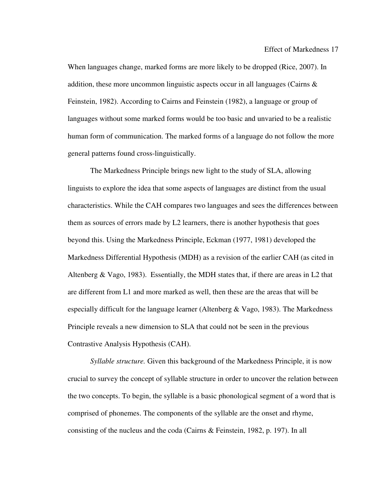When languages change, marked forms are more likely to be dropped (Rice, 2007). In addition, these more uncommon linguistic aspects occur in all languages (Cairns  $\&$ Feinstein, 1982). According to Cairns and Feinstein (1982), a language or group of languages without some marked forms would be too basic and unvaried to be a realistic human form of communication. The marked forms of a language do not follow the more general patterns found cross-linguistically.

The Markedness Principle brings new light to the study of SLA, allowing linguists to explore the idea that some aspects of languages are distinct from the usual characteristics. While the CAH compares two languages and sees the differences between them as sources of errors made by L2 learners, there is another hypothesis that goes beyond this. Using the Markedness Principle, Eckman (1977, 1981) developed the Markedness Differential Hypothesis (MDH) as a revision of the earlier CAH (as cited in Altenberg & Vago, 1983). Essentially, the MDH states that, if there are areas in L2 that are different from L1 and more marked as well, then these are the areas that will be especially difficult for the language learner (Altenberg  $\&$  Vago, 1983). The Markedness Principle reveals a new dimension to SLA that could not be seen in the previous Contrastive Analysis Hypothesis (CAH).

*Syllable structure.* Given this background of the Markedness Principle, it is now crucial to survey the concept of syllable structure in order to uncover the relation between the two concepts. To begin, the syllable is a basic phonological segment of a word that is comprised of phonemes. The components of the syllable are the onset and rhyme, consisting of the nucleus and the coda (Cairns & Feinstein, 1982, p. 197). In all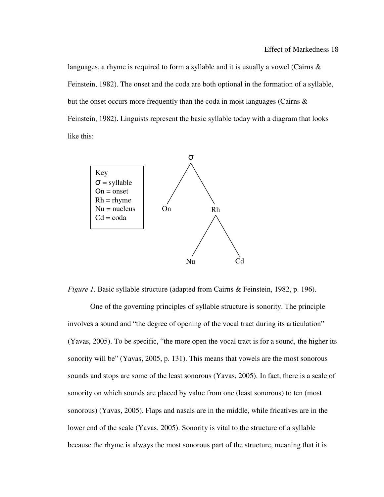languages, a rhyme is required to form a syllable and it is usually a vowel (Cairns & Feinstein, 1982). The onset and the coda are both optional in the formation of a syllable, but the onset occurs more frequently than the coda in most languages (Cairns & Feinstein, 1982). Linguists represent the basic syllable today with a diagram that looks like this:



*Figure 1.* Basic syllable structure (adapted from Cairns & Feinstein, 1982, p. 196).

 One of the governing principles of syllable structure is sonority. The principle involves a sound and "the degree of opening of the vocal tract during its articulation" (Yavas, 2005). To be specific, "the more open the vocal tract is for a sound, the higher its sonority will be" (Yavas, 2005, p. 131). This means that vowels are the most sonorous sounds and stops are some of the least sonorous (Yavas, 2005). In fact, there is a scale of sonority on which sounds are placed by value from one (least sonorous) to ten (most sonorous) (Yavas, 2005). Flaps and nasals are in the middle, while fricatives are in the lower end of the scale (Yavas, 2005). Sonority is vital to the structure of a syllable because the rhyme is always the most sonorous part of the structure, meaning that it is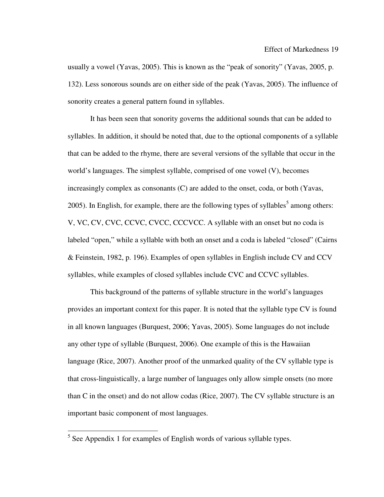usually a vowel (Yavas, 2005). This is known as the "peak of sonority" (Yavas, 2005, p. 132). Less sonorous sounds are on either side of the peak (Yavas, 2005). The influence of sonority creates a general pattern found in syllables.

It has been seen that sonority governs the additional sounds that can be added to syllables. In addition, it should be noted that, due to the optional components of a syllable that can be added to the rhyme, there are several versions of the syllable that occur in the world's languages. The simplest syllable, comprised of one vowel (V), becomes increasingly complex as consonants (C) are added to the onset, coda, or both (Yavas, 2005). In English, for example, there are the following types of syllables<sup>5</sup> among others: V, VC, CV, CVC, CCVC, CVCC, CCCVCC. A syllable with an onset but no coda is labeled "open," while a syllable with both an onset and a coda is labeled "closed" (Cairns & Feinstein, 1982, p. 196). Examples of open syllables in English include CV and CCV syllables, while examples of closed syllables include CVC and CCVC syllables.

This background of the patterns of syllable structure in the world's languages provides an important context for this paper. It is noted that the syllable type CV is found in all known languages (Burquest, 2006; Yavas, 2005). Some languages do not include any other type of syllable (Burquest, 2006). One example of this is the Hawaiian language (Rice, 2007). Another proof of the unmarked quality of the CV syllable type is that cross-linguistically, a large number of languages only allow simple onsets (no more than C in the onset) and do not allow codas (Rice, 2007). The CV syllable structure is an important basic component of most languages.

 $\overline{a}$ 

 $<sup>5</sup>$  See Appendix 1 for examples of English words of various syllable types.</sup>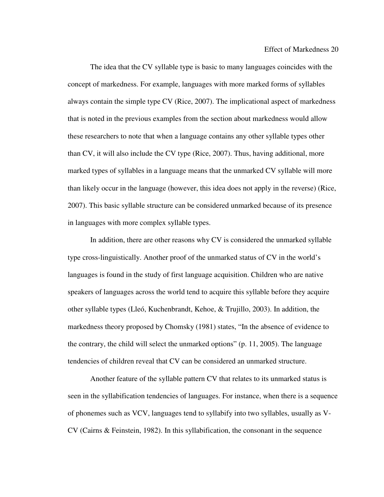The idea that the CV syllable type is basic to many languages coincides with the concept of markedness. For example, languages with more marked forms of syllables always contain the simple type CV (Rice, 2007). The implicational aspect of markedness that is noted in the previous examples from the section about markedness would allow these researchers to note that when a language contains any other syllable types other than CV, it will also include the CV type (Rice, 2007). Thus, having additional, more marked types of syllables in a language means that the unmarked CV syllable will more than likely occur in the language (however, this idea does not apply in the reverse) (Rice, 2007). This basic syllable structure can be considered unmarked because of its presence in languages with more complex syllable types.

In addition, there are other reasons why CV is considered the unmarked syllable type cross-linguistically. Another proof of the unmarked status of CV in the world's languages is found in the study of first language acquisition. Children who are native speakers of languages across the world tend to acquire this syllable before they acquire other syllable types (Lleó, Kuchenbrandt, Kehoe, & Trujillo, 2003). In addition, the markedness theory proposed by Chomsky (1981) states, "In the absence of evidence to the contrary, the child will select the unmarked options" (p. 11, 2005). The language tendencies of children reveal that CV can be considered an unmarked structure.

Another feature of the syllable pattern CV that relates to its unmarked status is seen in the syllabification tendencies of languages. For instance, when there is a sequence of phonemes such as VCV, languages tend to syllabify into two syllables, usually as V-CV (Cairns & Feinstein, 1982). In this syllabification, the consonant in the sequence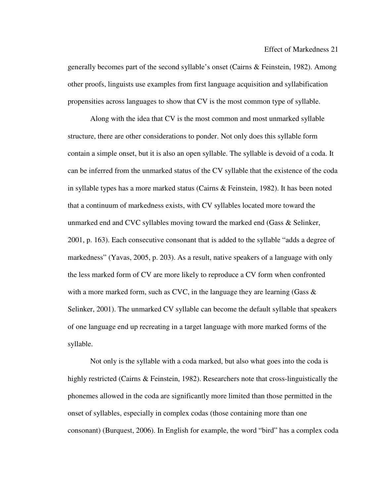generally becomes part of the second syllable's onset (Cairns & Feinstein, 1982). Among other proofs, linguists use examples from first language acquisition and syllabification propensities across languages to show that CV is the most common type of syllable.

Along with the idea that CV is the most common and most unmarked syllable structure, there are other considerations to ponder. Not only does this syllable form contain a simple onset, but it is also an open syllable. The syllable is devoid of a coda. It can be inferred from the unmarked status of the CV syllable that the existence of the coda in syllable types has a more marked status (Cairns & Feinstein, 1982). It has been noted that a continuum of markedness exists, with CV syllables located more toward the unmarked end and CVC syllables moving toward the marked end (Gass & Selinker, 2001, p. 163). Each consecutive consonant that is added to the syllable "adds a degree of markedness" (Yavas, 2005, p. 203). As a result, native speakers of a language with only the less marked form of CV are more likely to reproduce a CV form when confronted with a more marked form, such as CVC, in the language they are learning (Gass  $\&$ Selinker, 2001). The unmarked CV syllable can become the default syllable that speakers of one language end up recreating in a target language with more marked forms of the syllable.

Not only is the syllable with a coda marked, but also what goes into the coda is highly restricted (Cairns & Feinstein, 1982). Researchers note that cross-linguistically the phonemes allowed in the coda are significantly more limited than those permitted in the onset of syllables, especially in complex codas (those containing more than one consonant) (Burquest, 2006). In English for example, the word "bird" has a complex coda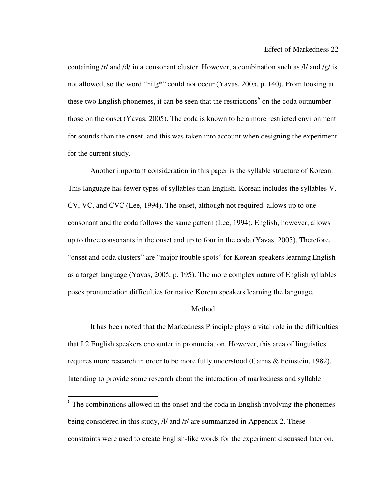containing  $\frac{r}{a}$  and  $\frac{d}{d}$  in a consonant cluster. However, a combination such as  $\frac{d}{d}$  and  $\frac{g}{d}$  is not allowed, so the word "nilg\*" could not occur (Yavas, 2005, p. 140). From looking at these two English phonemes, it can be seen that the restrictions<sup>6</sup> on the coda outnumber those on the onset (Yavas, 2005). The coda is known to be a more restricted environment for sounds than the onset, and this was taken into account when designing the experiment for the current study.

 Another important consideration in this paper is the syllable structure of Korean. This language has fewer types of syllables than English. Korean includes the syllables V, CV, VC, and CVC (Lee, 1994). The onset, although not required, allows up to one consonant and the coda follows the same pattern (Lee, 1994). English, however, allows up to three consonants in the onset and up to four in the coda (Yavas, 2005). Therefore, "onset and coda clusters" are "major trouble spots" for Korean speakers learning English as a target language (Yavas, 2005, p. 195). The more complex nature of English syllables poses pronunciation difficulties for native Korean speakers learning the language.

#### Method

 It has been noted that the Markedness Principle plays a vital role in the difficulties that L2 English speakers encounter in pronunciation. However, this area of linguistics requires more research in order to be more fully understood (Cairns & Feinstein, 1982). Intending to provide some research about the interaction of markedness and syllable

 $\overline{a}$ 

 $6$  The combinations allowed in the onset and the coda in English involving the phonemes being considered in this study, /l/ and /r/ are summarized in Appendix 2. These constraints were used to create English-like words for the experiment discussed later on.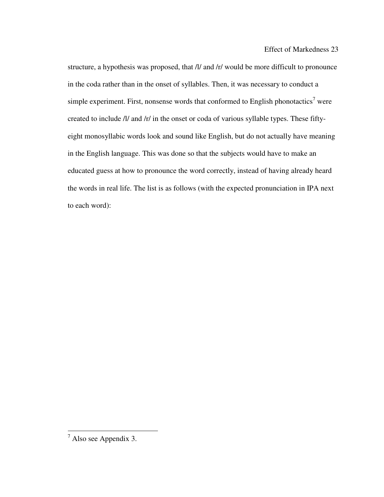structure, a hypothesis was proposed, that /l/ and /r/ would be more difficult to pronounce in the coda rather than in the onset of syllables. Then, it was necessary to conduct a simple experiment. First, nonsense words that conformed to English phonotactics<sup>7</sup> were created to include /l/ and /r/ in the onset or coda of various syllable types. These fiftyeight monosyllabic words look and sound like English, but do not actually have meaning in the English language. This was done so that the subjects would have to make an educated guess at how to pronounce the word correctly, instead of having already heard the words in real life. The list is as follows (with the expected pronunciation in IPA next to each word):

 $\overline{a}$ 

 $<sup>7</sup>$  Also see Appendix 3.</sup>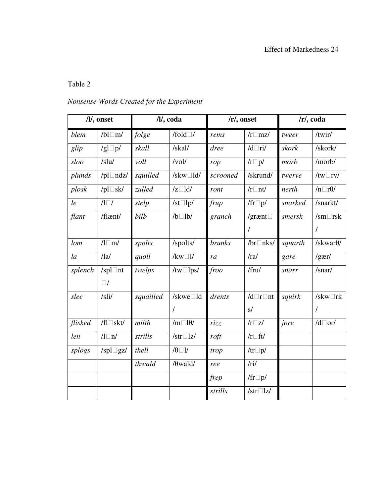# Table 2

# *Nonsense Words Created for the Experiment*

| /l/, onset |                     | /l/, coda |                      | $/r/$ , onset    |                   | /r/, coda |                      |
|------------|---------------------|-----------|----------------------|------------------|-------------------|-----------|----------------------|
| blem       | /bl $\Box$ m/       | folge     | /fold $\Box$ /       | rems             | $/r \Box$ mz/     | tweer     | /twir/               |
| glip       | /gl $\square$ p/    | skall     | /skal/               | dree             | $/d$ Ti/          | skork     | /skork/              |
| sloo       | /slu/               | voll      | /vol/                | rop              | $/r\square p/$    | morb      | /morb/               |
| plunds     | /pl $\Box$ ndz/     | squilled  | /skw $\Box$ ld/      | scrooned         | /skrund/          | twerve    | /tw $\Box$ rv/       |
| plosk      | /pl $\square$ sk/   | zulled    | $/z \Box$ ld/        | ront             | $/r \Box$ nt/     | nerth     | $/n \Box r \theta$ / |
| le         | $\sqrt{1}$          | stelp     | /st $\square$ lp/    | frup             | /fr $\square p$ / | snarked   | /snarkt/             |
| flant      | /flænt/             | bilb      | $/b$ $1b$            | granch           | /grænt $\square$  | smersk    | $/sm\Box$ rsk        |
|            |                     |           |                      |                  | $\prime$          |           | $\overline{1}$       |
| lom        | $\sqrt{l \ln l}$    | spolts    | /spolts/             | <b>brunks</b>    | /br $\Box$ nks/   | squarth   | /skwar $\theta$ /    |
| $l_a$      | /la/                | quoll     | $/kw\square l/$      | ra               | /ra/              | gare      | $/g\text{er}/$       |
| splench    | /spl $\Box$ nt      | twelps    | /tw $\Box$ lps/      | froo             | /fru/             | snarr     | /snar/               |
|            | $\Box/$             |           |                      |                  |                   |           |                      |
| slee       | /sli/               | squailled | /skwe $\Box$ ld      | drents           | $/d\Box r\Box nt$ | squirk    | /skw $\Box$ rk       |
|            |                     |           | $\prime$             |                  | s/                |           | 7                    |
| flisked    | /fl $\square$ skt/  | milth     | $/m \Box 10/$        | rizz             | $/r\square z/$    | jore      | $/d\Box$ or/         |
| len        | $\sqrt{l} \Box n$ / | strills   | /str $\Box$ lz/      | $\frac{reft}{f}$ | $/r$ of the $f$   |           |                      |
| splogs     | /spl $\Box$ gz/     | thell     | $\theta \Box \theta$ | trop             | /tr $\square p$ / |           |                      |
|            |                     | thwald    | $/\theta$ wald/      | ree              | /ri/              |           |                      |
|            |                     |           |                      | frep             | /fr $\square p$ / |           |                      |
|            |                     |           |                      | strills          | /str $\Box$ lz/   |           |                      |
|            |                     |           |                      |                  |                   |           |                      |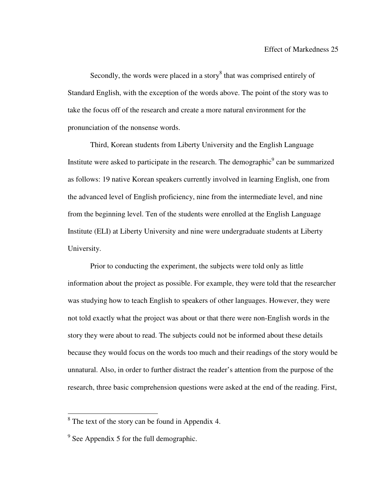Secondly, the words were placed in a story<sup>8</sup> that was comprised entirely of Standard English, with the exception of the words above. The point of the story was to take the focus off of the research and create a more natural environment for the pronunciation of the nonsense words.

Third, Korean students from Liberty University and the English Language Institute were asked to participate in the research. The demographic $\degree$  can be summarized as follows: 19 native Korean speakers currently involved in learning English, one from the advanced level of English proficiency, nine from the intermediate level, and nine from the beginning level. Ten of the students were enrolled at the English Language Institute (ELI) at Liberty University and nine were undergraduate students at Liberty University.

Prior to conducting the experiment, the subjects were told only as little information about the project as possible. For example, they were told that the researcher was studying how to teach English to speakers of other languages. However, they were not told exactly what the project was about or that there were non-English words in the story they were about to read. The subjects could not be informed about these details because they would focus on the words too much and their readings of the story would be unnatural. Also, in order to further distract the reader's attention from the purpose of the research, three basic comprehension questions were asked at the end of the reading. First,

 $\overline{a}$ 

 $8^8$  The text of the story can be found in Appendix 4.

 $9^9$  See Appendix 5 for the full demographic.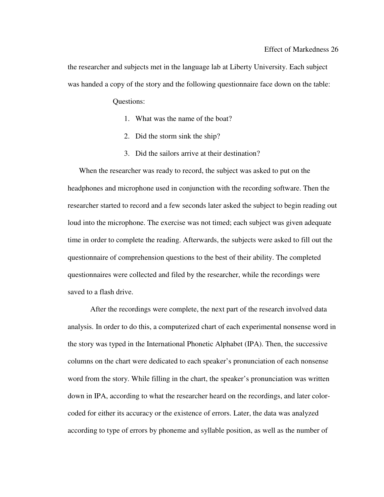the researcher and subjects met in the language lab at Liberty University. Each subject was handed a copy of the story and the following questionnaire face down on the table:

Questions:

- 1. What was the name of the boat?
- 2. Did the storm sink the ship?
- 3. Did the sailors arrive at their destination?

When the researcher was ready to record, the subject was asked to put on the headphones and microphone used in conjunction with the recording software. Then the researcher started to record and a few seconds later asked the subject to begin reading out loud into the microphone. The exercise was not timed; each subject was given adequate time in order to complete the reading. Afterwards, the subjects were asked to fill out the questionnaire of comprehension questions to the best of their ability. The completed questionnaires were collected and filed by the researcher, while the recordings were saved to a flash drive.

 After the recordings were complete, the next part of the research involved data analysis. In order to do this, a computerized chart of each experimental nonsense word in the story was typed in the International Phonetic Alphabet (IPA). Then, the successive columns on the chart were dedicated to each speaker's pronunciation of each nonsense word from the story. While filling in the chart, the speaker's pronunciation was written down in IPA, according to what the researcher heard on the recordings, and later colorcoded for either its accuracy or the existence of errors. Later, the data was analyzed according to type of errors by phoneme and syllable position, as well as the number of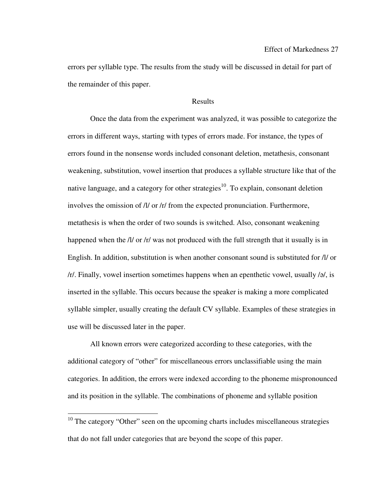errors per syllable type. The results from the study will be discussed in detail for part of the remainder of this paper.

#### Results

 Once the data from the experiment was analyzed, it was possible to categorize the errors in different ways, starting with types of errors made. For instance, the types of errors found in the nonsense words included consonant deletion, metathesis, consonant weakening, substitution, vowel insertion that produces a syllable structure like that of the native language, and a category for other strategies<sup>10</sup>. To explain, consonant deletion involves the omission of /l/ or /r/ from the expected pronunciation. Furthermore, metathesis is when the order of two sounds is switched. Also, consonant weakening happened when the */l/* or */r/* was not produced with the full strength that it usually is in English. In addition, substitution is when another consonant sound is substituted for /l/ or /r/. Finally, vowel insertion sometimes happens when an epenthetic vowel, usually /ə/, is inserted in the syllable. This occurs because the speaker is making a more complicated syllable simpler, usually creating the default CV syllable. Examples of these strategies in use will be discussed later in the paper.

All known errors were categorized according to these categories, with the additional category of "other" for miscellaneous errors unclassifiable using the main categories. In addition, the errors were indexed according to the phoneme mispronounced and its position in the syllable. The combinations of phoneme and syllable position

 $\overline{a}$ 

<sup>&</sup>lt;sup>10</sup> The category "Other" seen on the upcoming charts includes miscellaneous strategies that do not fall under categories that are beyond the scope of this paper.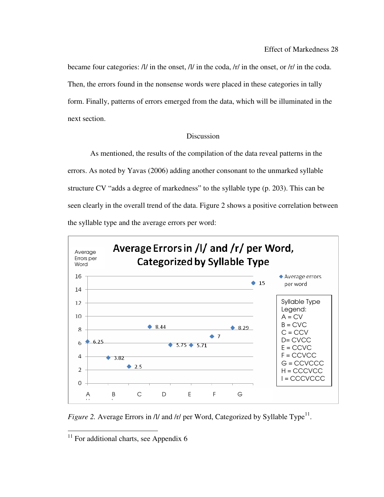became four categories: /l/ in the onset, /l/ in the coda, /r/ in the onset, or /r/ in the coda. Then, the errors found in the nonsense words were placed in these categories in tally form. Finally, patterns of errors emerged from the data, which will be illuminated in the next section.

## **Discussion**

 As mentioned, the results of the compilation of the data reveal patterns in the errors. As noted by Yavas (2006) adding another consonant to the unmarked syllable structure CV "adds a degree of markedness" to the syllable type (p. 203). This can be seen clearly in the overall trend of the data. Figure 2 shows a positive correlation between the syllable type and the average errors per word:



*Figure 2.* Average Errors in /l/ and /r/ per Word, Categorized by Syllable Type<sup>11</sup>.

 $\overline{a}$ 

 $11$  For additional charts, see Appendix 6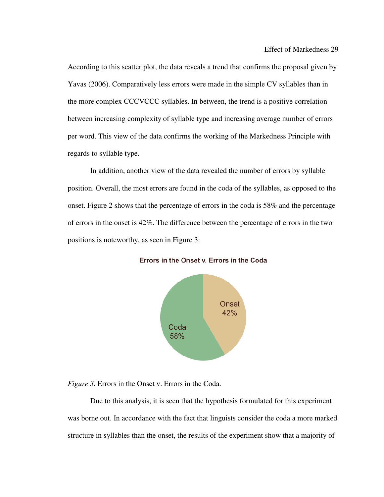According to this scatter plot, the data reveals a trend that confirms the proposal given by Yavas (2006). Comparatively less errors were made in the simple CV syllables than in the more complex CCCVCCC syllables. In between, the trend is a positive correlation between increasing complexity of syllable type and increasing average number of errors per word. This view of the data confirms the working of the Markedness Principle with regards to syllable type.

In addition, another view of the data revealed the number of errors by syllable position. Overall, the most errors are found in the coda of the syllables, as opposed to the onset. Figure 2 shows that the percentage of errors in the coda is 58% and the percentage of errors in the onset is 42%. The difference between the percentage of errors in the two positions is noteworthy, as seen in Figure 3:



Errors in the Onset v. Errors in the Coda

*Figure 3.* Errors in the Onset v. Errors in the Coda.

Due to this analysis, it is seen that the hypothesis formulated for this experiment was borne out. In accordance with the fact that linguists consider the coda a more marked structure in syllables than the onset, the results of the experiment show that a majority of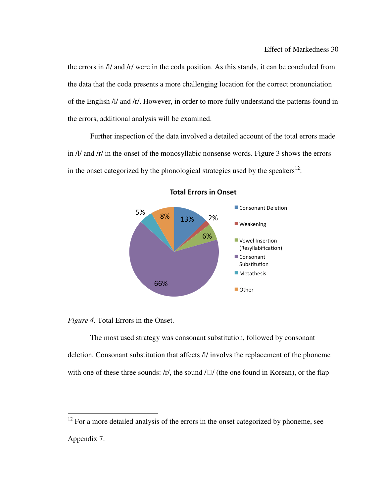the errors in /l/ and /r/ were in the coda position. As this stands, it can be concluded from the data that the coda presents a more challenging location for the correct pronunciation of the English /l/ and /r/. However, in order to more fully understand the patterns found in the errors, additional analysis will be examined.

 Further inspection of the data involved a detailed account of the total errors made in /l/ and /r/ in the onset of the monosyllabic nonsense words. Figure 3 shows the errors in the onset categorized by the phonological strategies used by the speakers<sup>12</sup>:



#### **Total Errors in Onset**

*Figure 4.* Total Errors in the Onset.

 $\overline{a}$ 

The most used strategy was consonant substitution, followed by consonant deletion. Consonant substitution that affects /l/ involvs the replacement of the phoneme with one of these three sounds:  $\frac{r}{r}$ , the sound  $\frac{r}{r}$  (the one found in Korean), or the flap

 $12$  For a more detailed analysis of the errors in the onset categorized by phoneme, see Appendix 7.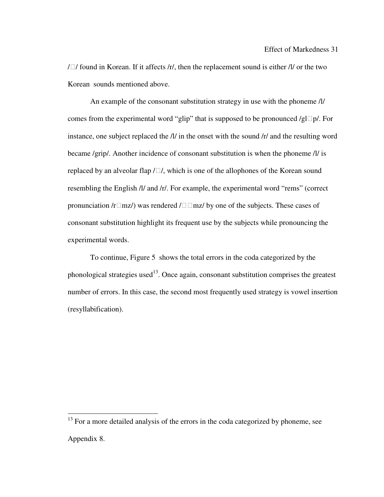/ $\Box$ / found in Korean. If it affects /r/, then the replacement sound is either /l/ or the two Korean sounds mentioned above.

 An example of the consonant substitution strategy in use with the phoneme /l/ comes from the experimental word "glip" that is supposed to be pronounced /gl $\Box p$ /. For instance, one subject replaced the /l/ in the onset with the sound /r/ and the resulting word became /grip/. Another incidence of consonant substitution is when the phoneme /l/ is replaced by an alveolar flap  $/\Box$ , which is one of the allophones of the Korean sound resembling the English /l/ and /r/. For example, the experimental word "rems" (correct pronunciation /r $\Box$ mz/) was rendered / $\Box$  $\Box$ mz/ by one of the subjects. These cases of consonant substitution highlight its frequent use by the subjects while pronouncing the experimental words.

 To continue, Figure 5 shows the total errors in the coda categorized by the phonological strategies used<sup>13</sup>. Once again, consonant substitution comprises the greatest number of errors. In this case, the second most frequently used strategy is vowel insertion (resyllabification).

 $\overline{a}$ 

 $13$  For a more detailed analysis of the errors in the coda categorized by phoneme, see Appendix 8.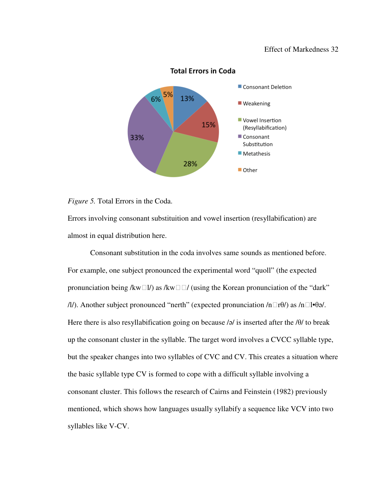#### Effect of Markedness 32



#### **Total Errors in Coda**

#### *Figure 5.* Total Errors in the Coda.

Errors involving consonant substituition and vowel insertion (resyllabification) are almost in equal distribution here.

Consonant substitution in the coda involves same sounds as mentioned before. For example, one subject pronounced the experimental word "quoll" (the expected pronunciation being /kw $\Box$ l/) as /kw $\Box$  (using the Korean pronunciation of the "dark" /l/). Another subject pronounced "nerth" (expected pronunciation /n $\Box$ r $\theta$ /) as /n $\Box$ l $\theta$ ə/. Here there is also resyllabification going on because  $\alpha$  is inserted after the  $\theta$  to break up the consonant cluster in the syllable. The target word involves a CVCC syllable type, but the speaker changes into two syllables of CVC and CV. This creates a situation where the basic syllable type CV is formed to cope with a difficult syllable involving a consonant cluster. This follows the research of Cairns and Feinstein (1982) previously mentioned, which shows how languages usually syllabify a sequence like VCV into two syllables like V-CV.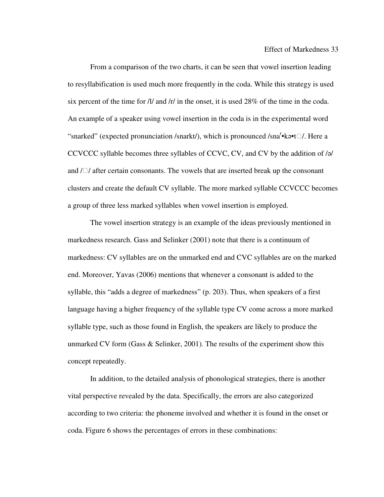From a comparison of the two charts, it can be seen that vowel insertion leading to resyllabification is used much more frequently in the coda. While this strategy is used six percent of the time for  $\frac{1}{a}$  and  $\frac{1}{r}$  in the onset, it is used 28% of the time in the coda. An example of a speaker using vowel insertion in the coda is in the experimental word "snarked" (expected pronunciation /snarkt/), which is pronounced /sna<sup>r</sup>•kə•t $\Box$ /. Here a CCVCCC syllable becomes three syllables of CCVC, CV, and CV by the addition of /ə/ and  $/\Box$  after certain consonants. The vowels that are inserted break up the consonant clusters and create the default CV syllable. The more marked syllable CCVCCC becomes a group of three less marked syllables when vowel insertion is employed.

The vowel insertion strategy is an example of the ideas previously mentioned in markedness research. Gass and Selinker (2001) note that there is a continuum of markedness: CV syllables are on the unmarked end and CVC syllables are on the marked end. Moreover, Yavas (2006) mentions that whenever a consonant is added to the syllable, this "adds a degree of markedness" (p. 203). Thus, when speakers of a first language having a higher frequency of the syllable type CV come across a more marked syllable type, such as those found in English, the speakers are likely to produce the unmarked CV form (Gass & Selinker, 2001). The results of the experiment show this concept repeatedly.

In addition, to the detailed analysis of phonological strategies, there is another vital perspective revealed by the data. Specifically, the errors are also categorized according to two criteria: the phoneme involved and whether it is found in the onset or coda. Figure 6 shows the percentages of errors in these combinations: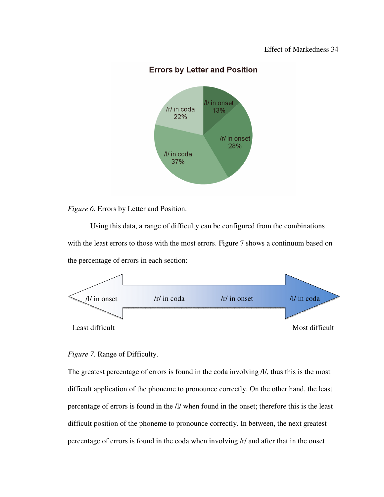## **Errors by Letter and Position**



*Figure 6.* Errors by Letter and Position.

Using this data, a range of difficulty can be configured from the combinations with the least errors to those with the most errors. Figure 7 shows a continuum based on the percentage of errors in each section:



### *Figure 7.* Range of Difficulty.

The greatest percentage of errors is found in the coda involving /l/, thus this is the most difficult application of the phoneme to pronounce correctly. On the other hand, the least percentage of errors is found in the /l/ when found in the onset; therefore this is the least difficult position of the phoneme to pronounce correctly. In between, the next greatest percentage of errors is found in the coda when involving /r/ and after that in the onset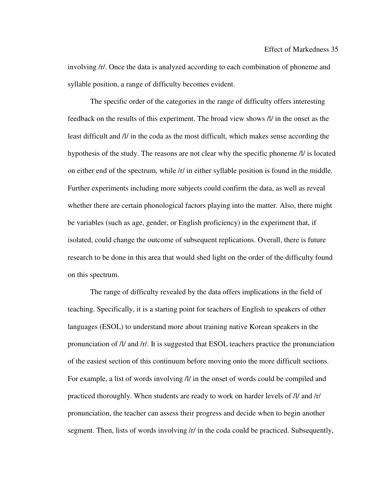involving /r/. Once the data is analyzed according to each combination of phoneme and syllable position, a range of difficulty becomes evident.

 The specific order of the categories in the range of difficulty offers interesting feedback on the results of this experiment. The broad view shows /l/ in the onset as the least difficult and /l/ in the coda as the most difficult, which makes sense according the hypothesis of the study. The reasons are not clear why the specific phoneme /l/ is located on either end of the spectrum, while /r/ in either syllable position is found in the middle. Further experiments including more subjects could confirm the data, as well as reveal whether there are certain phonological factors playing into the matter. Also, there might be variables (such as age, gender, or English proficiency) in the experiment that, if isolated, could change the outcome of subsequent replications. Overall, there is future research to be done in this area that would shed light on the order of the difficulty found on this spectrum.

 The range of difficulty revealed by the data offers implications in the field of teaching. Specifically, it is a starting point for teachers of English to speakers of other languages (ESOL) to understand more about training native Korean speakers in the pronunciation of /l/ and /r/. It is suggested that ESOL teachers practice the pronunciation of the easiest section of this continuum before moving onto the more difficult sections. For example, a list of words involving /l/ in the onset of words could be compiled and practiced thoroughly. When students are ready to work on harder levels of /l/ and /r/ pronunciation, the teacher can assess their progress and decide when to begin another segment. Then, lists of words involving /r/ in the coda could be practiced. Subsequently,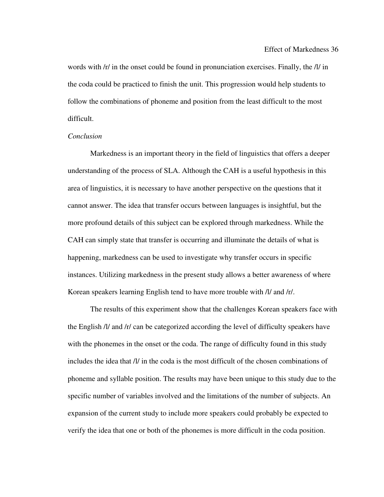words with /r/ in the onset could be found in pronunciation exercises. Finally, the /l/ in the coda could be practiced to finish the unit. This progression would help students to follow the combinations of phoneme and position from the least difficult to the most difficult.

#### *Conclusion*

 Markedness is an important theory in the field of linguistics that offers a deeper understanding of the process of SLA. Although the CAH is a useful hypothesis in this area of linguistics, it is necessary to have another perspective on the questions that it cannot answer. The idea that transfer occurs between languages is insightful, but the more profound details of this subject can be explored through markedness. While the CAH can simply state that transfer is occurring and illuminate the details of what is happening, markedness can be used to investigate why transfer occurs in specific instances. Utilizing markedness in the present study allows a better awareness of where Korean speakers learning English tend to have more trouble with /l/ and /r/.

The results of this experiment show that the challenges Korean speakers face with the English /l/ and /r/ can be categorized according the level of difficulty speakers have with the phonemes in the onset or the coda. The range of difficulty found in this study includes the idea that /l/ in the coda is the most difficult of the chosen combinations of phoneme and syllable position. The results may have been unique to this study due to the specific number of variables involved and the limitations of the number of subjects. An expansion of the current study to include more speakers could probably be expected to verify the idea that one or both of the phonemes is more difficult in the coda position.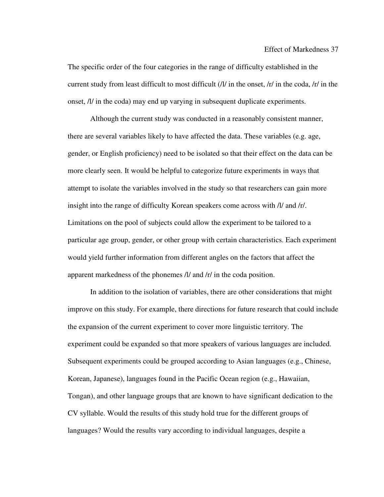The specific order of the four categories in the range of difficulty established in the current study from least difficult to most difficult  $\frac{I}{I}$  in the onset,  $\frac{I}{I}$  in the coda,  $\frac{I}{I}$  in the onset, /l/ in the coda) may end up varying in subsequent duplicate experiments.

Although the current study was conducted in a reasonably consistent manner, there are several variables likely to have affected the data. These variables (e.g. age, gender, or English proficiency) need to be isolated so that their effect on the data can be more clearly seen. It would be helpful to categorize future experiments in ways that attempt to isolate the variables involved in the study so that researchers can gain more insight into the range of difficulty Korean speakers come across with /l/ and /r/. Limitations on the pool of subjects could allow the experiment to be tailored to a particular age group, gender, or other group with certain characteristics. Each experiment would yield further information from different angles on the factors that affect the apparent markedness of the phonemes /l/ and /r/ in the coda position.

In addition to the isolation of variables, there are other considerations that might improve on this study. For example, there directions for future research that could include the expansion of the current experiment to cover more linguistic territory. The experiment could be expanded so that more speakers of various languages are included. Subsequent experiments could be grouped according to Asian languages (e.g., Chinese, Korean, Japanese), languages found in the Pacific Ocean region (e.g., Hawaiian, Tongan), and other language groups that are known to have significant dedication to the CV syllable. Would the results of this study hold true for the different groups of languages? Would the results vary according to individual languages, despite a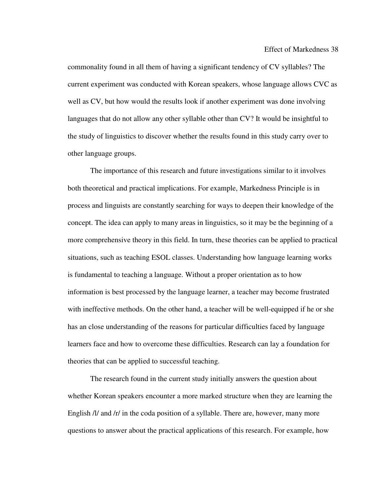commonality found in all them of having a significant tendency of CV syllables? The current experiment was conducted with Korean speakers, whose language allows CVC as well as CV, but how would the results look if another experiment was done involving languages that do not allow any other syllable other than CV? It would be insightful to the study of linguistics to discover whether the results found in this study carry over to other language groups.

The importance of this research and future investigations similar to it involves both theoretical and practical implications. For example, Markedness Principle is in process and linguists are constantly searching for ways to deepen their knowledge of the concept. The idea can apply to many areas in linguistics, so it may be the beginning of a more comprehensive theory in this field. In turn, these theories can be applied to practical situations, such as teaching ESOL classes. Understanding how language learning works is fundamental to teaching a language. Without a proper orientation as to how information is best processed by the language learner, a teacher may become frustrated with ineffective methods. On the other hand, a teacher will be well-equipped if he or she has an close understanding of the reasons for particular difficulties faced by language learners face and how to overcome these difficulties. Research can lay a foundation for theories that can be applied to successful teaching.

The research found in the current study initially answers the question about whether Korean speakers encounter a more marked structure when they are learning the English /l/ and /r/ in the coda position of a syllable. There are, however, many more questions to answer about the practical applications of this research. For example, how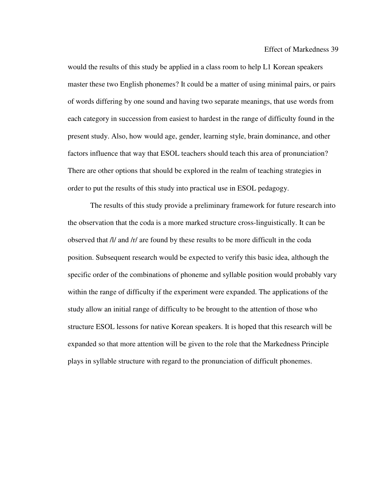would the results of this study be applied in a class room to help L1 Korean speakers master these two English phonemes? It could be a matter of using minimal pairs, or pairs of words differing by one sound and having two separate meanings, that use words from each category in succession from easiest to hardest in the range of difficulty found in the present study. Also, how would age, gender, learning style, brain dominance, and other factors influence that way that ESOL teachers should teach this area of pronunciation? There are other options that should be explored in the realm of teaching strategies in order to put the results of this study into practical use in ESOL pedagogy.

The results of this study provide a preliminary framework for future research into the observation that the coda is a more marked structure cross-linguistically. It can be observed that /l/ and /r/ are found by these results to be more difficult in the coda position. Subsequent research would be expected to verify this basic idea, although the specific order of the combinations of phoneme and syllable position would probably vary within the range of difficulty if the experiment were expanded. The applications of the study allow an initial range of difficulty to be brought to the attention of those who structure ESOL lessons for native Korean speakers. It is hoped that this research will be expanded so that more attention will be given to the role that the Markedness Principle plays in syllable structure with regard to the pronunciation of difficult phonemes.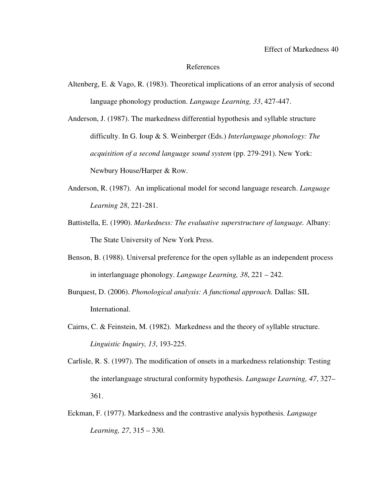#### References

- Altenberg, E. & Vago, R. (1983). Theoretical implications of an error analysis of second language phonology production. *Language Learning, 33*, 427-447.
- Anderson, J. (1987). The markedness differential hypothesis and syllable structure difficulty. In G. Ioup & S. Weinberger (Eds.) *Interlanguage phonology: The acquisition of a second language sound system* (pp. 279-291). New York: Newbury House/Harper & Row.
- Anderson, R. (1987). An implicational model for second language research. *Language Learning 28*, 221-281.
- Battistella, E. (1990). *Markedness: The evaluative superstructure of language.* Albany: The State University of New York Press.
- Benson, B. (1988). Universal preference for the open syllable as an independent process in interlanguage phonology. *Language Learning, 38*, 221 – 242.
- Burquest, D. (2006). *Phonological analysis: A functional approach.* Dallas: SIL International.
- Cairns, C. & Feinstein, M. (1982). Markedness and the theory of syllable structure. *Linguistic Inquiry, 13*, 193-225.
- Carlisle, R. S. (1997). The modification of onsets in a markedness relationship: Testing the interlanguage structural conformity hypothesis. *Language Learning, 47*, 327– 361.
- Eckman, F. (1977). Markedness and the contrastive analysis hypothesis. *Language Learning, 27*, 315 – 330.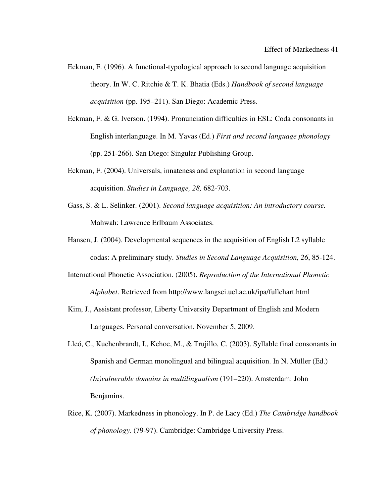- Eckman, F. (1996). A functional-typological approach to second language acquisition theory. In W. C. Ritchie & T. K. Bhatia (Eds.) *Handbook of second language acquisition* (pp. 195–211). San Diego: Academic Press.
- Eckman, F. & G. Iverson. (1994). Pronunciation difficulties in ESL: Coda consonants in English interlanguage. In M. Yavas (Ed.) *First and second language phonology* (pp. 251-266). San Diego: Singular Publishing Group.
- Eckman, F. (2004). Universals, innateness and explanation in second language acquisition. *Studies in Language, 28,* 682-703.
- Gass, S. & L. Selinker. (2001). *Second language acquisition: An introductory course.* Mahwah: Lawrence Erlbaum Associates.
- Hansen, J. (2004). Developmental sequences in the acquisition of English L2 syllable codas: A preliminary study. *Studies in Second Language Acquisition, 26*, 85-124.
- International Phonetic Association. (2005). *Reproduction of the International Phonetic Alphabet*. Retrieved from http://www.langsci.ucl.ac.uk/ipa/fullchart.html
- Kim, J., Assistant professor, Liberty University Department of English and Modern Languages. Personal conversation. November 5, 2009.
- Lleó, C., Kuchenbrandt, I., Kehoe, M., & Trujillo, C. (2003). Syllable final consonants in Spanish and German monolingual and bilingual acquisition. In N. Müller (Ed.) *(In)vulnerable domains in multilingualism* (191–220). Amsterdam: John Benjamins.
- Rice, K. (2007). Markedness in phonology. In P. de Lacy (Ed.) *The Cambridge handbook of phonology*. (79-97). Cambridge: Cambridge University Press.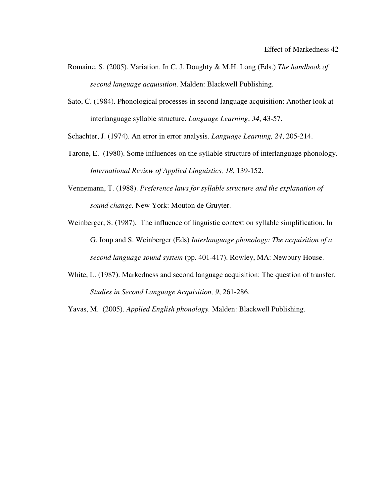- Romaine, S. (2005). Variation. In C. J. Doughty & M.H. Long (Eds.) *The handbook of second language acquisition*. Malden: Blackwell Publishing.
- Sato, C. (1984). Phonological processes in second language acquisition: Another look at interlanguage syllable structure. *Language Learning*, *34*, 43-57.

Schachter, J. (1974). An error in error analysis. *Language Learning, 24*, 205-214.

- Tarone, E. (1980). Some influences on the syllable structure of interlanguage phonology. *International Review of Applied Linguistics, 18*, 139-152.
- Vennemann, T. (1988). *Preference laws for syllable structure and the explanation of sound change.* New York: Mouton de Gruyter.
- Weinberger, S. (1987). The influence of linguistic context on syllable simplification. In G. Ioup and S. Weinberger (Eds) *Interlanguage phonology: The acquisition of a second language sound system* (pp. 401-417). Rowley, MA: Newbury House.
- White, L. (1987). Markedness and second language acquisition: The question of transfer. *Studies in Second Language Acquisition, 9*, 261-286.

Yavas, M. (2005). *Applied English phonology.* Malden: Blackwell Publishing.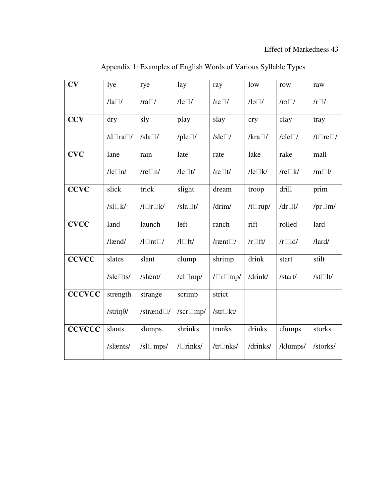| CV            | lye                  | rye               | lay                   | ray                   | low                 | row             | raw                     |
|---------------|----------------------|-------------------|-----------------------|-----------------------|---------------------|-----------------|-------------------------|
|               | $\sqrt{a}$           | $/ra\square/$     | $\sqrt{Re}$           | /re $\Box$ /          | $\sqrt{a}$          | $/r\partial D/$ | $/r\square/$            |
| <b>CCV</b>    | dry                  | sly               | play                  | slay                  | cry                 | clay            | tray                    |
|               | $/d\Box$ ra $\Box$ / | /sla $\square$ /  | /ple $\square$ /      | /sle $\Box$ /         | $/kra$ $\Box$ /     | /cle $\Box$ /   | $/t\Box$ re $\Box$ /    |
| <b>CVC</b>    | lane                 | rain              | late                  | rate                  | lake                | rake            | mall                    |
|               | $\text{Re}\Box n$ /  | /re $\Box$ n/     | $\sqrt{\text{le}}$ It | /re $\Box t$ /        | $\sqrt{\text{Re}}$  | /re $\Box$ k/   | $/m \Box l$             |
| <b>CCVC</b>   | slick                | trick             | slight                | dream                 | troop               | drill           | prim                    |
|               | $/sl\Box k/$         | $/t\Box r\Box k/$ | /sla $\Box t$ /       | /drim/                | $/t$ rup/           | /dr $\Box$ l/   | /pr $\Box$ m/           |
| <b>CVCC</b>   | land                 | launch            | left                  | ranch                 | rift                | rolled          | lard                    |
|               | $/$ lænd $/$         | $\sqrt{1 \ln t}$  | $\Lambda \Box$ ft/    | /rænt $\Box$ /        | $/r \Box \text{ft}$ | $/r \Box$ ld/   | $\Lambda$ ard $\Lambda$ |
| <b>CCVCC</b>  | slates               | slant             | clump                 | shrimp                | drink               | start           | stilt                   |
|               | /sle $\Box$ ts/      | /slænt/           | $/cl \Box mp/$        | $/ \Box$ r $\Box$ mp/ | /drink/             | /start/         | /st $\Box$ lt/          |
| <b>CCCVCC</b> | strength             | strange           | scrimp                | strict                |                     |                 |                         |
|               | /strin $\theta$ /    | /strænd $\Box/$   | /scr $\Box$ mp/       | /str $\Box$ kt/       |                     |                 |                         |
| <b>CCVCCC</b> | slants               | slumps            | shrinks               | trunks                | drinks              | clumps          | storks                  |
|               | /slænts/             | $/sl \Box mps/$   | $/$ Trinks/           | /tr $\Box$ nks/       | /drinks/            | /klumps/        | /storks/                |

Appendix 1: Examples of English Words of Various Syllable Types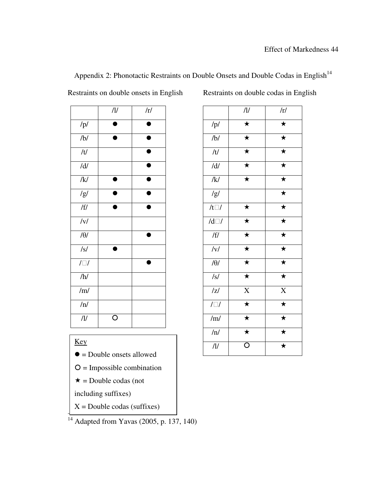|             | $/\!1\!/\!$ | /r/       |                | $/\!1\!/\!$        |  |
|-------------|-------------|-----------|----------------|--------------------|--|
| /p/         |             |           | /p/            | $\overline{\star}$ |  |
| /b/         | D           | $\bullet$ | /b/            | $\bigstar$         |  |
| /t/         |             |           | /t/            | $\overline{\star}$ |  |
| $/d/$       |             |           | $/d/$          | $\bigstar$         |  |
| /k/         |             |           | /k/            | $\bigstar$         |  |
| /g/         |             |           | /g/            |                    |  |
| /ff/        | ●           | ●         | /t $\Box/$     | $\bigstar$         |  |
| /v/         |             |           | $/d\Box/$      | $\overline{\star}$ |  |
| $/\theta/$  |             |           | /f/            | $\bigstar$         |  |
| $\sqrt{s}$  | $\bullet$   |           | /v/            | $\bigstar$         |  |
| $/ \Box /$  |             |           | $/\theta/$     | $\overline{\star}$ |  |
| /h/         |             |           | /s/            | $\bigstar$         |  |
| /m/         |             |           | z              | $\mathbf X$        |  |
| /n/         |             |           | $/ \Box /$     | $\overline{\star}$ |  |
| $/\!1\!/\!$ | $\circ$     |           | $/\mathrm{m}/$ | $\bigstar$         |  |

| Appendix 2: Phonotactic Restraints on Double Onsets and Double Codas in English <sup>14</sup> |  |  |  |
|-----------------------------------------------------------------------------------------------|--|--|--|
|                                                                                               |  |  |  |

Restraints on double onsets in English Restraints on double codas in English

|                     | /l/                     | /r/                |
|---------------------|-------------------------|--------------------|
| /p/                 | $\overline{\star}$      | $\overline{\star}$ |
| /b/                 | $\overline{\star}$      | $\overline{\star}$ |
| /t/                 | $\overline{\star}$      | $\overline{\star}$ |
| $/d/$               | $\overline{\star}$      | $\star$            |
| /k/                 | $\overline{\star}$      | $\overline{\star}$ |
| $\sqrt{g/}$         |                         | $\overline{\star}$ |
| $/t\square/$        | $\bigstar$              | $\overline{\star}$ |
| $\overline{d}$      | $\overline{\star}$      | $\overline{\star}$ |
| /ff/                | $\star$                 | $\star$            |
| $\overline{y}$      | $\overline{\star}$      | $\overline{\star}$ |
| $\overline{\theta}$ | $\overline{\star}$      | $\overline{\star}$ |
| $\sqrt{s}$          | $\overline{\star}$      | $\overline{\star}$ |
| z                   | $\overline{X}$          | $\overline{X}$     |
| $\sqrt{2}$          | $\overline{\star}$      | $\overline{\star}$ |
| /m/                 | $\overline{\star}$      | $\overline{\star}$ |
| /n/                 | $\overline{\star}$      | $\overline{\star}$ |
| /1/                 | $\overline{\mathsf{O}}$ | $\overline{\star}$ |

## Key

 $\overline{\phantom{a}}$ 

 $\overline{\phantom{a}}$ 

- $\bullet$  = Double onsets allowed
- $O =$  Impossible combination
- $\star$  = Double codas (not

including suffixes)

 $X =$  Double codas (suffixes)

 $14$  Adapted from Yavas (2005, p. 137, 140)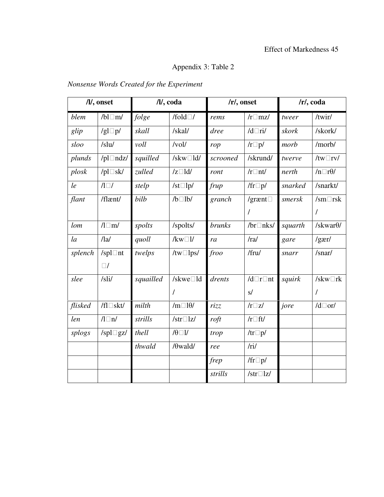# Appendix 3: Table 2

# *Nonsense Words Created for the Experiment*

|         | /l/, onset         |           | /l/, coda         |               | $/r/$ , onset     |         | $/r/$ , coda           |
|---------|--------------------|-----------|-------------------|---------------|-------------------|---------|------------------------|
| blem    | $/bl \Box m/$      | folge     | /fold $\Box$ /    | rems          | $/r \Box$ mz/     | tweer   | /twir/                 |
| glip    | /gl $\square$ p/   | skall     | /skal/            | dree          | $/d$ Ti/          | skork   | /skork/                |
| sloo    | /slu/              | voll      | /vol/             | rop           | $/r \Box p/$      | morb    | /morb/                 |
| plunds  | /pl $\Box$ ndz/    | squilled  | /skw $\Box$ ld/   | scrooned      | /skrund/          | twerve  | /tw $\Box$ rv/         |
| plosk   | /pl $\Box$ sk/     | zulled    | $/z \Box$ ld/     | ront          | $/r \Box$ nt/     | nerth   | $/n \Box r \theta$ /   |
| le      | $\Lambda\square I$ | stelp     | /st $\square$ lp/ | frup          | /fr $\square p$ / | snarked | /snarkt/               |
| flant   | /flænt/            | bilb      | $/b$ $1b$         | granch        | /grænt $\square$  | smersk  | $\sqrt{\text{sm}}$ rsk |
|         |                    |           |                   |               | $\prime$          |         | $\prime$               |
| lom     | $\sqrt{l \ln l}$   | spolts    | /spolts/          | <i>brunks</i> | /br $\Box$ nks/   | squarth | /skwar $\theta$ /      |
| $l_a$   | /la/               | quoll     | $/kw\square l/$   | ra            | /ral              | gare    | /gær/                  |
| splench | /spl $\Box$ nt     | twelps    | /tw $\Box$ lps/   | froo          | /fru/             | snarr   | /snar/                 |
|         | $\Box$ /           |           |                   |               |                   |         |                        |
| slee    | /sli/              | squailled | /skwe□ld          | drents        | $/d\Box r\Box nt$ | squirk  | /skw $\Box$ rk         |
|         |                    |           | $\prime$          |               | s/                |         | $\prime$               |
| flisked | $/fl \Box$ skt/    | milth     | $/m \Box 10/$     | rizz          | $/r\square z/$    | jore    | $/d\Box$ or/           |
| len     | $\sqrt{2}$         | strills   | /str $\Box$ lz/   | $\eta$        | $/r$ of the $f$   |         |                        |
| splogs  | /spl $\Box$ gz/    | thell     | $\theta \Box V$   | trop          | /tr $\square p$ / |         |                        |
|         |                    | thwald    | $/\theta$ wald/   | ree           | /ri/              |         |                        |
|         |                    |           |                   | frep          | /fr $\square p$ / |         |                        |
|         |                    |           |                   | strills       | /str $\Box$ lz/   |         |                        |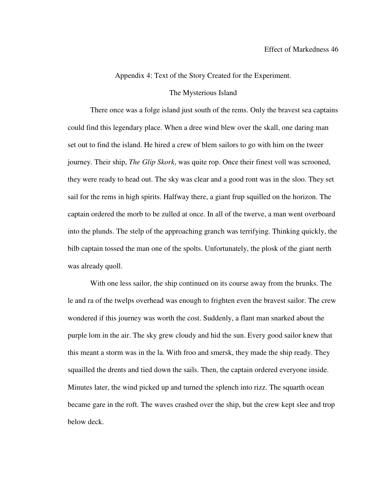### Appendix 4: Text of the Story Created for the Experiment.

#### The Mysterious Island

There once was a folge island just south of the rems. Only the bravest sea captains could find this legendary place. When a dree wind blew over the skall, one daring man set out to find the island. He hired a crew of blem sailors to go with him on the tweer journey. Their ship, *The Glip Skork*, was quite rop. Once their finest voll was scrooned, they were ready to head out. The sky was clear and a good ront was in the sloo. They set sail for the rems in high spirits. Halfway there, a giant frup squilled on the horizon. The captain ordered the morb to be zulled at once. In all of the twerve, a man went overboard into the plunds. The stelp of the approaching granch was terrifying. Thinking quickly, the bilb captain tossed the man one of the spolts. Unfortunately, the plosk of the giant nerth was already quoll.

With one less sailor, the ship continued on its course away from the brunks. The le and ra of the twelps overhead was enough to frighten even the bravest sailor. The crew wondered if this journey was worth the cost. Suddenly, a flant man snarked about the purple lom in the air. The sky grew cloudy and hid the sun. Every good sailor knew that this meant a storm was in the la. With froo and smersk, they made the ship ready. They squailled the drents and tied down the sails. Then, the captain ordered everyone inside. Minutes later, the wind picked up and turned the splench into rizz. The squarth ocean became gare in the roft. The waves crashed over the ship, but the crew kept slee and trop below deck.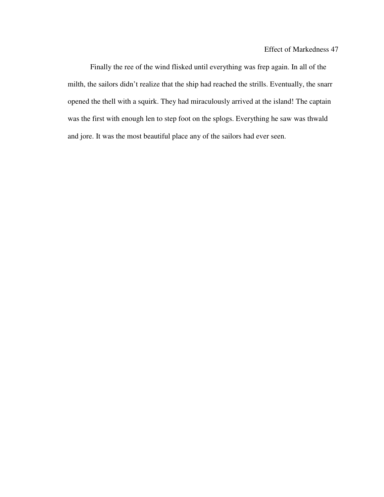Finally the ree of the wind flisked until everything was frep again. In all of the milth, the sailors didn't realize that the ship had reached the strills. Eventually, the snarr opened the thell with a squirk. They had miraculously arrived at the island! The captain was the first with enough len to step foot on the splogs. Everything he saw was thwald and jore. It was the most beautiful place any of the sailors had ever seen.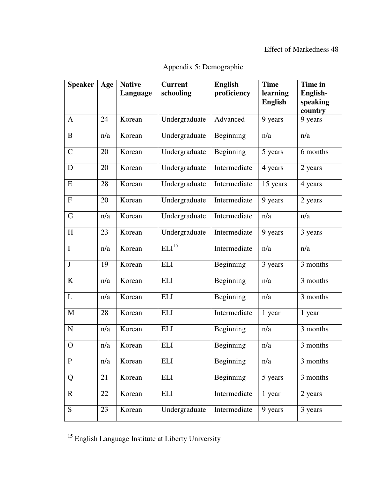## Effect of Markedness 48

| <b>Speaker</b>            | Age | <b>Native</b><br>Language | <b>Current</b><br>schooling | <b>English</b><br>proficiency | <b>Time</b><br>learning<br><b>English</b> | Time in<br>English-<br>speaking<br>country |
|---------------------------|-----|---------------------------|-----------------------------|-------------------------------|-------------------------------------------|--------------------------------------------|
| $\mathbf{A}$              | 24  | Korean                    | Undergraduate               | Advanced                      | 9 years                                   | 9 years                                    |
| B                         | n/a | Korean                    | Undergraduate               | Beginning                     | n/a                                       | n/a                                        |
| $\mathcal{C}$             | 20  | Korean                    | Undergraduate               | Beginning                     | 5 years                                   | 6 months                                   |
| D                         | 20  | Korean                    | Undergraduate               | Intermediate                  | 4 years                                   | 2 years                                    |
| E                         | 28  | Korean                    | Undergraduate               | Intermediate                  | 15 years                                  | 4 years                                    |
| $\boldsymbol{\mathrm{F}}$ | 20  | Korean                    | Undergraduate               | Intermediate                  | 9 years                                   | 2 years                                    |
| G                         | n/a | Korean                    | Undergraduate               | Intermediate                  | n/a                                       | n/a                                        |
| H                         | 23  | Korean                    | Undergraduate               | Intermediate                  | 9 years                                   | 3 years                                    |
| $\mathbf I$               | n/a | Korean                    | ELI <sup>15</sup>           | Intermediate                  | n/a                                       | n/a                                        |
| $\bf J$                   | 19  | Korean                    | <b>ELI</b>                  | Beginning                     | 3 years                                   | 3 months                                   |
| $\bf K$                   | n/a | Korean                    | <b>ELI</b>                  | Beginning                     | n/a                                       | 3 months                                   |
| L                         | n/a | Korean                    | <b>ELI</b>                  | Beginning                     | n/a                                       | 3 months                                   |
| M                         | 28  | Korean                    | <b>ELI</b>                  | Intermediate                  | 1 year                                    | 1 year                                     |
| ${\bf N}$                 | n/a | Korean                    | <b>ELI</b>                  | Beginning                     | n/a                                       | 3 months                                   |
| $\mathbf{O}$              | n/a | Korean                    | <b>ELI</b>                  | Beginning                     | n/a                                       | 3 months                                   |
|                           | n/a | Korean                    | <b>ELI</b>                  | Beginning                     | n/a                                       | 3 months                                   |
| Q                         | 21  | Korean                    | <b>ELI</b>                  | Beginning                     | 5 years                                   | 3 months                                   |
| $\mathbf R$               | 22  | Korean                    | <b>ELI</b>                  | Intermediate                  | 1 year                                    | 2 years                                    |
| $\overline{S}$            | 23  | Korean                    | Undergraduate               | Intermediate                  | 9 years                                   | 3 years                                    |
|                           |     |                           |                             |                               |                                           |                                            |

Appendix 5: Demographic

 $\overline{a}$ 

<sup>&</sup>lt;sup>15</sup> English Language Institute at Liberty University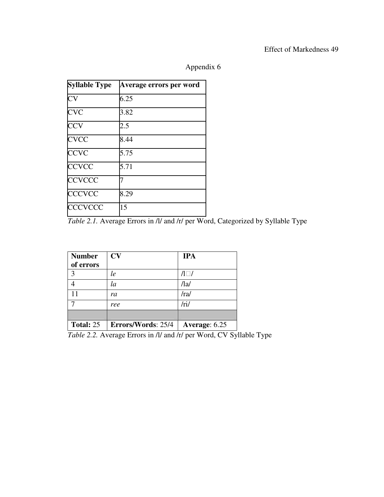## Effect of Markedness 49

| <b>Syllable Type</b>   | Average errors per word |
|------------------------|-------------------------|
| $\overline{\text{CV}}$ | 6.25                    |
| <b>CVC</b>             | 3.82                    |
| <b>CCV</b>             | 2.5                     |
| <b>CVCC</b>            | 8.44                    |
| <b>CCVC</b>            | 5.75                    |
| <b>CCVCC</b>           | 5.71                    |
| <b>CCVCCC</b>          |                         |
| <b>CCCVCC</b>          | 8.29                    |
| <b>CCCVCCC</b>         | 15                      |

Appendix 6

*Table 2.1.* Average Errors in /l/ and /r/ per Word, Categorized by Syllable Type

| <b>Number</b><br>of errors | CV                 | <b>IPA</b>             |
|----------------------------|--------------------|------------------------|
| $\mathcal{E}$              | le                 | $\Lambda \Box \Lambda$ |
|                            | la                 | /1a/                   |
|                            | ra                 | /ra/                   |
|                            | ree                | /ri/                   |
|                            |                    |                        |
| <b>Total: 25</b>           | Errors/Words: 25/4 | Average: 6.25          |

*Table 2.2.* Average Errors in /l/ and /r/ per Word, CV Syllable Type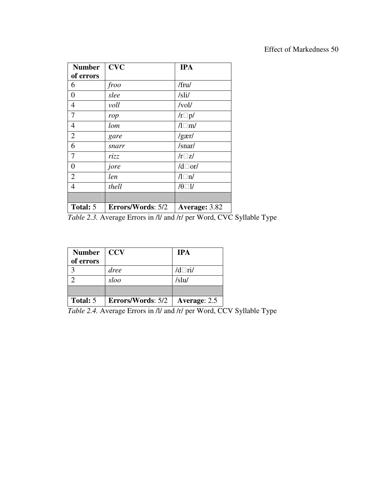| <b>Number</b>  | <b>CVC</b>        | <b>IPA</b>           |
|----------------|-------------------|----------------------|
| of errors      |                   |                      |
| 6              | froo              | /fru/                |
| $\overline{0}$ | slee              | /sli/                |
| 4              | voll              | /vol/                |
| $\overline{7}$ | rop               | $/r\square p/$       |
| $\overline{4}$ | lom               | $\sqrt{l \ln l}$     |
| $\overline{2}$ | gare              | /gær/                |
| 6              | snarr             | /snar/               |
| 7              | rizz              | $/r\square z/$       |
| $\overline{0}$ | jore              | $/d\Box$ or/         |
| $\overline{2}$ | len               | $\sqrt{l} \ln l$     |
| $\overline{4}$ | thell             | $\theta \Box \theta$ |
|                |                   |                      |
| Total: 5       | Errors/Words: 5/2 | Average: 3.82        |

*Table 2.3.* Average Errors in /l/ and /r/ per Word, CVC Syllable Type

| <b>Number</b> | <b>CCV</b>               | <b>IPA</b>   |
|---------------|--------------------------|--------------|
| of errors     |                          |              |
|               | dree                     | $/d$ ri/     |
|               | sloo                     | /slu/        |
|               |                          |              |
| Total: 5      | <b>Errors/Words: 5/2</b> | Average: 2.5 |

*Table 2.4.* Average Errors in /l/ and /r/ per Word, CCV Syllable Type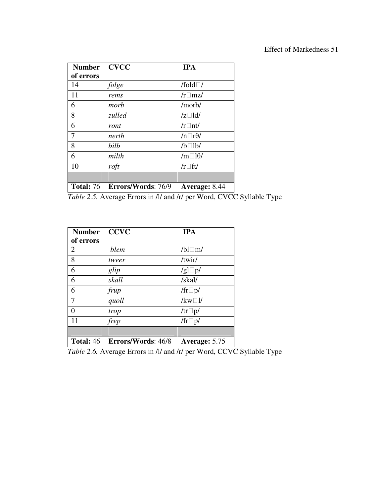| <b>Number</b>    | <b>CVCC</b>        | <b>IPA</b>            |
|------------------|--------------------|-----------------------|
| of errors        |                    |                       |
| 14               | folge              | /fold $\Box$ /        |
| 11               | rems               | $/r \Box$ mz/         |
| 6                | morb               | /morb/                |
| 8                | zulled             | $/z \Box$ ld/         |
| 6                | ront               | $/r \Box$ nt/         |
| 7                | nerth              | $/n \Box r \theta$ /  |
| 8                | bilb               | $/b$ $1b$             |
| 6                | milth              | $/m \Box 10/$         |
| 10               | roft               | $/r \Box \text{ft}$ / |
|                  |                    |                       |
| <b>Total: 76</b> | Errors/Words: 76/9 | Average: 8.44         |

*Table 2.5.* Average Errors in /l/ and /r/ per Word, CVCC Syllable Type

| <b>Number</b>    | <b>CCVC</b>        | <b>IPA</b>        |
|------------------|--------------------|-------------------|
| of errors        |                    |                   |
| 2                | blem               | $/bl \Box m/$     |
| 8                | tweer              | /twir/            |
| 6                | glip               | /gl $\Box$ p/     |
| 6                | skall              | /skal/            |
| 6                | frup               | /fr $\square p$ / |
|                  | quoll              | $/kw\square l/$   |
| 0                | trop               | /tr $\square p$ / |
| 11               | frep               | /fr $\square p$ / |
|                  |                    |                   |
| <b>Total: 46</b> | Errors/Words: 46/8 | Average: 5.75     |

*Table 2.6.* Average Errors in /l/ and /r/ per Word, CCVC Syllable Type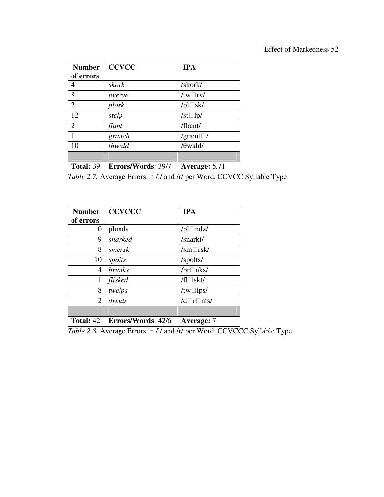| <b>Number</b>    | <b>CCVCC</b>       | <b>IPA</b>        |
|------------------|--------------------|-------------------|
| of errors        |                    |                   |
| 4                | skork              | /skork/           |
| 8                | twerve             | /tw $\Box$ rv/    |
| $\overline{2}$   | plosk              | /pl $\Box$ sk/    |
| 12               | stelp              | /st $\square$ lp/ |
| $\overline{2}$   | flant              | $/$ flænt $/$     |
| 1                | granch             | /grænt $\Box$ /   |
| 10               | thwald             | $/\theta$ wald/   |
|                  |                    |                   |
| <b>Total: 39</b> | Errors/Words: 39/7 | Average: 5.71     |

*Table 2.7.* Average Errors in /l/ and /r/ per Word, CCVCC Syllable Type

| <b>Number</b>  | <b>CCVCCC</b>             | <b>IPA</b>                  |
|----------------|---------------------------|-----------------------------|
| of errors      |                           |                             |
| 0              | plunds                    | /pl $\Box$ ndz/             |
| 9              | snarked                   | /snarkt/                    |
| 8              | smersk                    | $\sqrt{\rm sm}$ $\Box$ rsk/ |
| 10             | spolts                    | /spolts/                    |
| 4              | <i>brunks</i>             | /br $\Box$ nks/             |
| 1              | flisked                   | $/fl \Box$ skt/             |
| 8              | twelps                    | /tw $\Box$ lps/             |
| $\overline{2}$ | drents                    | $/d\Box r\Box$ nts/         |
|                |                           |                             |
| Total: 42      | <b>Errors/Words: 42/6</b> | Average: 7                  |

*Table 2.8.* Average Errors in /l/ and /r/ per Word, CCVCCC Syllable Type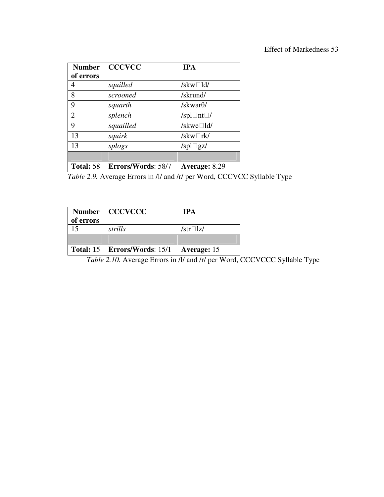| <b>Number</b>  | <b>CCCVCC</b>      | <b>IPA</b>              |
|----------------|--------------------|-------------------------|
| of errors      |                    |                         |
| 4              | squilled           | /skw $\Box$ ld/         |
| 8              | scrooned           | /skrund/                |
| 9              | squarth            | /skwar $\theta$ /       |
| $\overline{2}$ | splench            | /spl $\Box$ nt $\Box$ / |
| 9              | squailled          | /skwe $\Box$ ld/        |
| 13             | squirk             | /skw $\Box$ rk/         |
| 13             | splogs             | /spl $\Box$ gz/         |
|                |                    |                         |
| Total: 58      | Errors/Words: 58/7 | Average: 8.29           |

Table 2.9. Average Errors in /l/ and /r/ per Word, CCCVCC Syllable Type

| of errors | Number   CCCVCCC               | <b>TPA</b>      |
|-----------|--------------------------------|-----------------|
|           | strills                        | /str $\Box$ lz/ |
|           |                                |                 |
|           | Total: 15   Errors/Words: 15/1 | Average: 15     |

*Table 2.10.* Average Errors in /l/ and /r/ per Word, CCCVCCC Syllable Type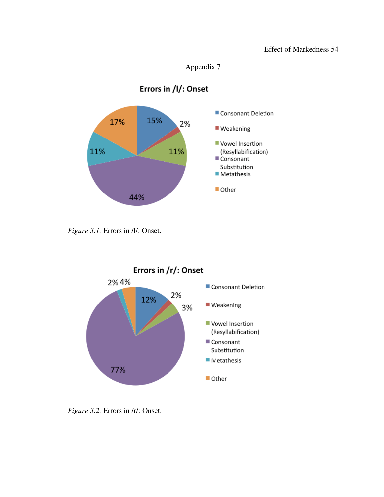### Effect of Markedness 54



# Errors in /l/: Onset



*Figure 3.1.* Errors in  $\Lambda$ *l*: Onset.



*Figure 3.2.* Errors in /r/: Onset.